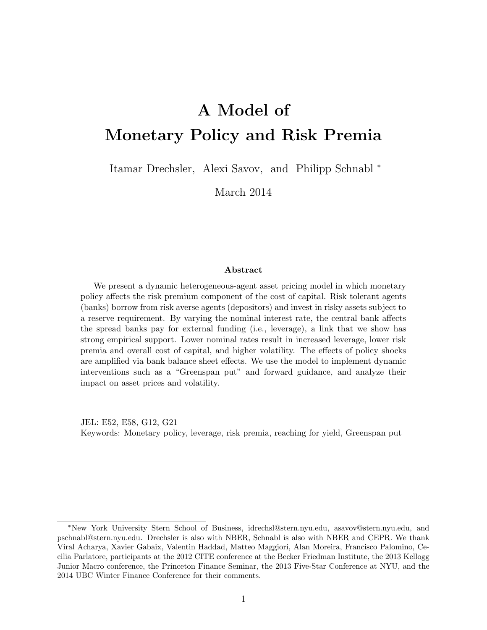# A Model of Monetary Policy and Risk Premia

Itamar Drechsler, Alexi Savov, and Philipp Schnabl <sup>∗</sup>

March 2014

#### Abstract

We present a dynamic heterogeneous-agent asset pricing model in which monetary policy affects the risk premium component of the cost of capital. Risk tolerant agents (banks) borrow from risk averse agents (depositors) and invest in risky assets subject to a reserve requirement. By varying the nominal interest rate, the central bank affects the spread banks pay for external funding (i.e., leverage), a link that we show has strong empirical support. Lower nominal rates result in increased leverage, lower risk premia and overall cost of capital, and higher volatility. The effects of policy shocks are amplified via bank balance sheet effects. We use the model to implement dynamic interventions such as a "Greenspan put" and forward guidance, and analyze their impact on asset prices and volatility.

JEL: E52, E58, G12, G21 Keywords: Monetary policy, leverage, risk premia, reaching for yield, Greenspan put

<sup>∗</sup>New York University Stern School of Business, [idrechsl@stern.nyu.edu,](mailto:idrechsl@stern.nyu.edu) [asavov@stern.nyu.edu,](mailto:asavov@stern.nyu.edu) and [pschnabl@stern.nyu.edu.](mailto:pschnabl@stern.nyu.edu) Drechsler is also with NBER, Schnabl is also with NBER and CEPR. We thank Viral Acharya, Xavier Gabaix, Valentin Haddad, Matteo Maggiori, Alan Moreira, Francisco Palomino, Cecilia Parlatore, participants at the 2012 CITE conference at the Becker Friedman Institute, the 2013 Kellogg Junior Macro conference, the Princeton Finance Seminar, the 2013 Five-Star Conference at NYU, and the 2014 UBC Winter Finance Conference for their comments.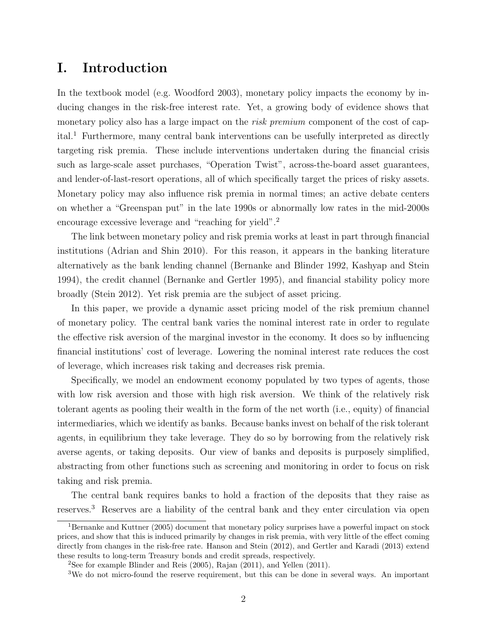### I. Introduction

In the textbook model (e.g. [Woodford](#page-32-0) [2003\)](#page-32-0), monetary policy impacts the economy by inducing changes in the risk-free interest rate. Yet, a growing body of evidence shows that monetary policy also has a large impact on the *risk premium* component of the cost of cap- $ital.1$  $ital.1$  Furthermore, many central bank interventions can be usefully interpreted as directly targeting risk premia. These include interventions undertaken during the financial crisis such as large-scale asset purchases, "Operation Twist", across-the-board asset guarantees, and lender-of-last-resort operations, all of which specifically target the prices of risky assets. Monetary policy may also influence risk premia in normal times; an active debate centers on whether a "Greenspan put" in the late 1990s or abnormally low rates in the mid-2000s encourage excessive leverage and "reaching for yield".[2](#page-1-1)

The link between monetary policy and risk premia works at least in part through financial institutions [\(Adrian and Shin](#page-29-0) [2010\)](#page-29-0). For this reason, it appears in the banking literature alternatively as the bank lending channel [\(Bernanke and Blinder](#page-29-1) [1992,](#page-29-1) [Kashyap and Stein](#page-31-0) [1994\)](#page-31-0), the credit channel [\(Bernanke and Gertler](#page-29-2) [1995\)](#page-29-2), and financial stability policy more broadly [\(Stein](#page-32-1) [2012\)](#page-32-1). Yet risk premia are the subject of asset pricing.

In this paper, we provide a dynamic asset pricing model of the risk premium channel of monetary policy. The central bank varies the nominal interest rate in order to regulate the effective risk aversion of the marginal investor in the economy. It does so by influencing financial institutions' cost of leverage. Lowering the nominal interest rate reduces the cost of leverage, which increases risk taking and decreases risk premia.

Specifically, we model an endowment economy populated by two types of agents, those with low risk aversion and those with high risk aversion. We think of the relatively risk tolerant agents as pooling their wealth in the form of the net worth (i.e., equity) of financial intermediaries, which we identify as banks. Because banks invest on behalf of the risk tolerant agents, in equilibrium they take leverage. They do so by borrowing from the relatively risk averse agents, or taking deposits. Our view of banks and deposits is purposely simplified, abstracting from other functions such as screening and monitoring in order to focus on risk taking and risk premia.

The central bank requires banks to hold a fraction of the deposits that they raise as reserves.[3](#page-1-2) Reserves are a liability of the central bank and they enter circulation via open

<span id="page-1-0"></span><sup>&</sup>lt;sup>1</sup>[Bernanke and Kuttner](#page-29-3) [\(2005\)](#page-29-3) document that monetary policy surprises have a powerful impact on stock prices, and show that this is induced primarily by changes in risk premia, with very little of the effect coming directly from changes in the risk-free rate. [Hanson and Stein](#page-31-1) [\(2012\)](#page-31-1), and [Gertler and Karadi](#page-30-0) [\(2013\)](#page-30-0) extend these results to long-term Treasury bonds and credit spreads, respectively.

<span id="page-1-1"></span><sup>2</sup>See for example [Blinder and Reis](#page-29-4) [\(2005\)](#page-29-4), [Rajan](#page-32-2) [\(2011\)](#page-32-2), and [Yellen](#page-32-3) [\(2011\)](#page-32-3).

<span id="page-1-2"></span><sup>&</sup>lt;sup>3</sup>We do not micro-found the reserve requirement, but this can be done in several ways. An important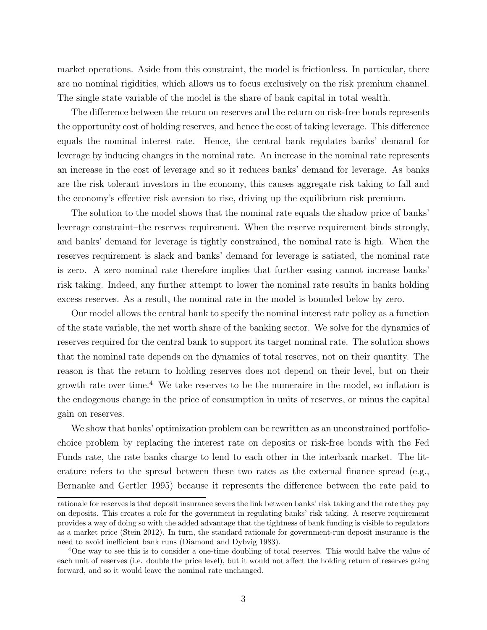market operations. Aside from this constraint, the model is frictionless. In particular, there are no nominal rigidities, which allows us to focus exclusively on the risk premium channel. The single state variable of the model is the share of bank capital in total wealth.

The difference between the return on reserves and the return on risk-free bonds represents the opportunity cost of holding reserves, and hence the cost of taking leverage. This difference equals the nominal interest rate. Hence, the central bank regulates banks' demand for leverage by inducing changes in the nominal rate. An increase in the nominal rate represents an increase in the cost of leverage and so it reduces banks' demand for leverage. As banks are the risk tolerant investors in the economy, this causes aggregate risk taking to fall and the economy's effective risk aversion to rise, driving up the equilibrium risk premium.

The solution to the model shows that the nominal rate equals the shadow price of banks' leverage constraint–the reserves requirement. When the reserve requirement binds strongly, and banks' demand for leverage is tightly constrained, the nominal rate is high. When the reserves requirement is slack and banks' demand for leverage is satiated, the nominal rate is zero. A zero nominal rate therefore implies that further easing cannot increase banks' risk taking. Indeed, any further attempt to lower the nominal rate results in banks holding excess reserves. As a result, the nominal rate in the model is bounded below by zero.

Our model allows the central bank to specify the nominal interest rate policy as a function of the state variable, the net worth share of the banking sector. We solve for the dynamics of reserves required for the central bank to support its target nominal rate. The solution shows that the nominal rate depends on the dynamics of total reserves, not on their quantity. The reason is that the return to holding reserves does not depend on their level, but on their growth rate over time.<sup>[4](#page-2-0)</sup> We take reserves to be the numeraire in the model, so inflation is the endogenous change in the price of consumption in units of reserves, or minus the capital gain on reserves.

We show that banks' optimization problem can be rewritten as an unconstrained portfoliochoice problem by replacing the interest rate on deposits or risk-free bonds with the Fed Funds rate, the rate banks charge to lend to each other in the interbank market. The literature refers to the spread between these two rates as the external finance spread (e.g., Bernanke and Gertler 1995) because it represents the difference between the rate paid to

rationale for reserves is that deposit insurance severs the link between banks' risk taking and the rate they pay on deposits. This creates a role for the government in regulating banks' risk taking. A reserve requirement provides a way of doing so with the added advantage that the tightness of bank funding is visible to regulators as a market price [\(Stein](#page-32-1) [2012\)](#page-32-1). In turn, the standard rationale for government-run deposit insurance is the need to avoid inefficient bank runs [\(Diamond and Dybvig](#page-30-1) [1983\)](#page-30-1).

<span id="page-2-0"></span><sup>&</sup>lt;sup>4</sup>One way to see this is to consider a one-time doubling of total reserves. This would halve the value of each unit of reserves (i.e. double the price level), but it would not affect the holding return of reserves going forward, and so it would leave the nominal rate unchanged.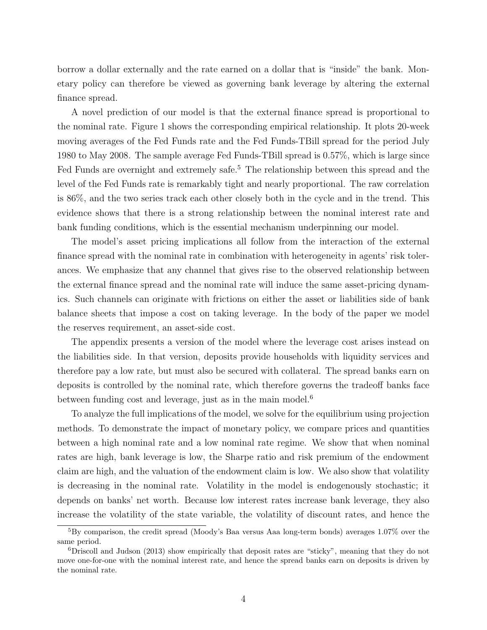borrow a dollar externally and the rate earned on a dollar that is "inside" the bank. Monetary policy can therefore be viewed as governing bank leverage by altering the external finance spread.

A novel prediction of our model is that the external finance spread is proportional to the nominal rate. Figure 1 shows the corresponding empirical relationship. It plots 20-week moving averages of the Fed Funds rate and the Fed Funds-TBill spread for the period July 1980 to May 2008. The sample average Fed Funds-TBill spread is 0.57%, which is large since Fed Funds are overnight and extremely safe.<sup>[5](#page-3-0)</sup> The relationship between this spread and the level of the Fed Funds rate is remarkably tight and nearly proportional. The raw correlation is 86%, and the two series track each other closely both in the cycle and in the trend. This evidence shows that there is a strong relationship between the nominal interest rate and bank funding conditions, which is the essential mechanism underpinning our model.

The model's asset pricing implications all follow from the interaction of the external finance spread with the nominal rate in combination with heterogeneity in agents' risk tolerances. We emphasize that any channel that gives rise to the observed relationship between the external finance spread and the nominal rate will induce the same asset-pricing dynamics. Such channels can originate with frictions on either the asset or liabilities side of bank balance sheets that impose a cost on taking leverage. In the body of the paper we model the reserves requirement, an asset-side cost.

The appendix presents a version of the model where the leverage cost arises instead on the liabilities side. In that version, deposits provide households with liquidity services and therefore pay a low rate, but must also be secured with collateral. The spread banks earn on deposits is controlled by the nominal rate, which therefore governs the tradeoff banks face between funding cost and leverage, just as in the main model.<sup>[6](#page-3-1)</sup>

To analyze the full implications of the model, we solve for the equilibrium using projection methods. To demonstrate the impact of monetary policy, we compare prices and quantities between a high nominal rate and a low nominal rate regime. We show that when nominal rates are high, bank leverage is low, the Sharpe ratio and risk premium of the endowment claim are high, and the valuation of the endowment claim is low. We also show that volatility is decreasing in the nominal rate. Volatility in the model is endogenously stochastic; it depends on banks' net worth. Because low interest rates increase bank leverage, they also increase the volatility of the state variable, the volatility of discount rates, and hence the

<span id="page-3-0"></span><sup>5</sup>By comparison, the credit spread (Moody's Baa versus Aaa long-term bonds) averages 1.07% over the same period.

<span id="page-3-1"></span><sup>6</sup>[Driscoll and Judson](#page-30-2) [\(2013\)](#page-30-2) show empirically that deposit rates are "sticky", meaning that they do not move one-for-one with the nominal interest rate, and hence the spread banks earn on deposits is driven by the nominal rate.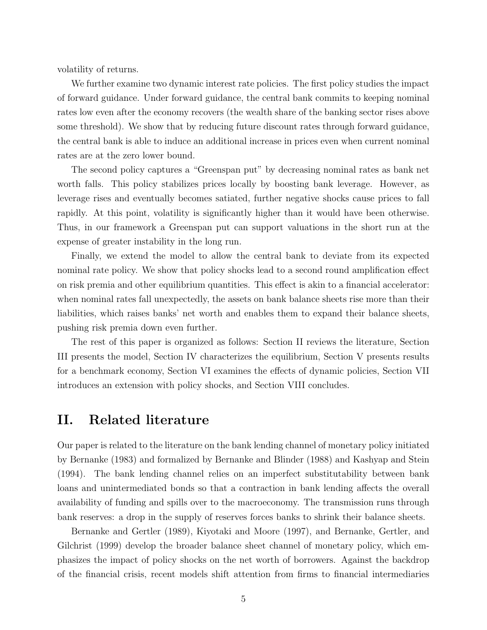volatility of returns.

We further examine two dynamic interest rate policies. The first policy studies the impact of forward guidance. Under forward guidance, the central bank commits to keeping nominal rates low even after the economy recovers (the wealth share of the banking sector rises above some threshold). We show that by reducing future discount rates through forward guidance, the central bank is able to induce an additional increase in prices even when current nominal rates are at the zero lower bound.

The second policy captures a "Greenspan put" by decreasing nominal rates as bank net worth falls. This policy stabilizes prices locally by boosting bank leverage. However, as leverage rises and eventually becomes satiated, further negative shocks cause prices to fall rapidly. At this point, volatility is significantly higher than it would have been otherwise. Thus, in our framework a Greenspan put can support valuations in the short run at the expense of greater instability in the long run.

Finally, we extend the model to allow the central bank to deviate from its expected nominal rate policy. We show that policy shocks lead to a second round amplification effect on risk premia and other equilibrium quantities. This effect is akin to a financial accelerator: when nominal rates fall unexpectedly, the assets on bank balance sheets rise more than their liabilities, which raises banks' net worth and enables them to expand their balance sheets, pushing risk premia down even further.

The rest of this paper is organized as follows: Section II reviews the literature, Section III presents the model, Section IV characterizes the equilibrium, Section V presents results for a benchmark economy, Section VI examines the effects of dynamic policies, Section VII introduces an extension with policy shocks, and Section VIII concludes.

### II. Related literature

Our paper is related to the literature on the bank lending channel of monetary policy initiated by [Bernanke](#page-29-5) [\(1983\)](#page-29-5) and formalized by [Bernanke and Blinder](#page-29-6) [\(1988\)](#page-29-6) and [Kashyap and Stein](#page-31-0) [\(1994\)](#page-31-0). The bank lending channel relies on an imperfect substitutability between bank loans and unintermediated bonds so that a contraction in bank lending affects the overall availability of funding and spills over to the macroeconomy. The transmission runs through bank reserves: a drop in the supply of reserves forces banks to shrink their balance sheets.

[Bernanke and Gertler](#page-29-7) [\(1989\)](#page-29-7), [Kiyotaki and Moore](#page-31-2) [\(1997\)](#page-31-2), and [Bernanke, Gertler, and](#page-29-8) [Gilchrist](#page-29-8) [\(1999\)](#page-29-8) develop the broader balance sheet channel of monetary policy, which emphasizes the impact of policy shocks on the net worth of borrowers. Against the backdrop of the financial crisis, recent models shift attention from firms to financial intermediaries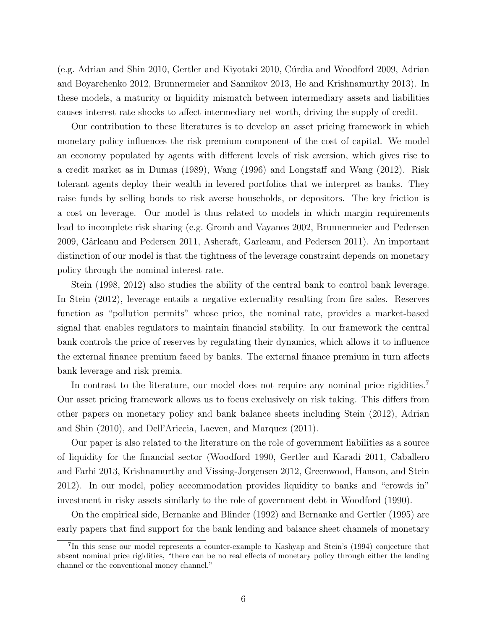(e.g. [Adrian and Shin](#page-29-0) [2010,](#page-30-3) [Gertler and Kiyotaki](#page-30-3) 2010, Cúrdia and Woodford [2009,](#page-30-4) [Adrian](#page-29-9) [and Boyarchenko](#page-29-9) [2012,](#page-29-9) [Brunnermeier and Sannikov](#page-29-10) [2013,](#page-29-10) [He and Krishnamurthy](#page-31-3) [2013\)](#page-31-3). In these models, a maturity or liquidity mismatch between intermediary assets and liabilities causes interest rate shocks to affect intermediary net worth, driving the supply of credit.

Our contribution to these literatures is to develop an asset pricing framework in which monetary policy influences the risk premium component of the cost of capital. We model an economy populated by agents with different levels of risk aversion, which gives rise to a credit market as in [Dumas](#page-30-5) [\(1989\)](#page-30-5), [Wang](#page-32-4) [\(1996\)](#page-32-4) and [Longstaff and Wang](#page-32-5) [\(2012\)](#page-32-5). Risk tolerant agents deploy their wealth in levered portfolios that we interpret as banks. They raise funds by selling bonds to risk averse households, or depositors. The key friction is a cost on leverage. Our model is thus related to models in which margin requirements lead to incomplete risk sharing (e.g. [Gromb and Vayanos](#page-31-4) [2002,](#page-31-4) [Brunnermeier and Pedersen](#page-29-11) [2009,](#page-29-11) [Gˆarleanu and Pedersen](#page-30-6) [2011,](#page-30-6) [Ashcraft, Garleanu, and Pedersen](#page-29-12) [2011\)](#page-29-12). An important distinction of our model is that the tightness of the leverage constraint depends on monetary policy through the nominal interest rate.

[Stein](#page-32-6) [\(1998,](#page-32-6) [2012\)](#page-32-1) also studies the ability of the central bank to control bank leverage. In [Stein](#page-32-1) [\(2012\)](#page-32-1), leverage entails a negative externality resulting from fire sales. Reserves function as "pollution permits" whose price, the nominal rate, provides a market-based signal that enables regulators to maintain financial stability. In our framework the central bank controls the price of reserves by regulating their dynamics, which allows it to influence the external finance premium faced by banks. The external finance premium in turn affects bank leverage and risk premia.

In contrast to the literature, our model does not require any nominal price rigidities.<sup>[7](#page-5-0)</sup> Our asset pricing framework allows us to focus exclusively on risk taking. This differs from other papers on monetary policy and bank balance sheets including [Stein](#page-32-1) [\(2012\)](#page-32-1), [Adrian](#page-29-0) [and Shin](#page-29-0) [\(2010\)](#page-29-0), and [Dell'Ariccia, Laeven, and Marquez](#page-30-7) [\(2011\)](#page-30-7).

Our paper is also related to the literature on the role of government liabilities as a source of liquidity for the financial sector [\(Woodford](#page-32-7) [1990,](#page-32-7) [Gertler and Karadi](#page-30-8) [2011,](#page-30-8) [Caballero](#page-30-9) [and Farhi](#page-30-9) [2013,](#page-30-9) [Krishnamurthy and Vissing-Jorgensen](#page-31-5) [2012,](#page-31-5) [Greenwood, Hanson, and Stein](#page-31-6) [2012\)](#page-31-6). In our model, policy accommodation provides liquidity to banks and "crowds in" investment in risky assets similarly to the role of government debt in [Woodford](#page-32-7) [\(1990\)](#page-32-7).

On the empirical side, [Bernanke and Blinder](#page-29-1) [\(1992\)](#page-29-1) and [Bernanke and Gertler](#page-29-2) [\(1995\)](#page-29-2) are early papers that find support for the bank lending and balance sheet channels of monetary

<span id="page-5-0"></span><sup>7</sup> In this sense our model represents a counter-example to Kashyap and Stein's [\(1994\)](#page-31-0) conjecture that absent nominal price rigidities, "there can be no real effects of monetary policy through either the lending channel or the conventional money channel."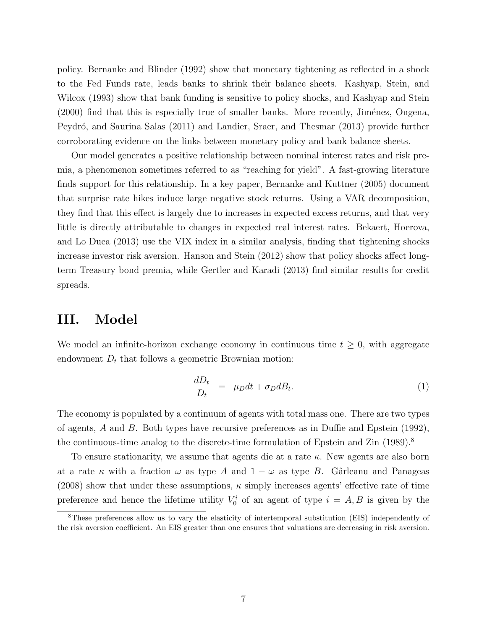policy. [Bernanke and Blinder](#page-29-1) [\(1992\)](#page-29-1) show that monetary tightening as reflected in a shock to the Fed Funds rate, leads banks to shrink their balance sheets. [Kashyap, Stein, and](#page-31-7) [Wilcox](#page-31-7) [\(1993\)](#page-31-7) show that bank funding is sensitive to policy shocks, and [Kashyap and Stein](#page-31-8)  $(2000)$  find that this is especially true of smaller banks. More recently, Jiménez, Ongena, Peydró, and Saurina Salas [\(2011\)](#page-31-9) and [Landier, Sraer, and Thesmar](#page-31-10) [\(2013\)](#page-31-10) provide further corroborating evidence on the links between monetary policy and bank balance sheets.

Our model generates a positive relationship between nominal interest rates and risk premia, a phenomenon sometimes referred to as "reaching for yield". A fast-growing literature finds support for this relationship. In a key paper, [Bernanke and Kuttner](#page-29-3) [\(2005\)](#page-29-3) document that surprise rate hikes induce large negative stock returns. Using a VAR decomposition, they find that this effect is largely due to increases in expected excess returns, and that very little is directly attributable to changes in expected real interest rates. [Bekaert, Hoerova,](#page-29-13) [and Lo Duca](#page-29-13) [\(2013\)](#page-29-13) use the VIX index in a similar analysis, finding that tightening shocks increase investor risk aversion. [Hanson and Stein](#page-31-1) [\(2012\)](#page-31-1) show that policy shocks affect longterm Treasury bond premia, while [Gertler and Karadi](#page-30-0) [\(2013\)](#page-30-0) find similar results for credit spreads.

### III. Model

We model an infinite-horizon exchange economy in continuous time  $t \geq 0$ , with aggregate endowment  $D_t$  that follows a geometric Brownian motion:

$$
\frac{dD_t}{D_t} = \mu_D dt + \sigma_D d_t.
$$
\n(1)

The economy is populated by a continuum of agents with total mass one. There are two types of agents, A and B. Both types have recursive preferences as in [Duffie and Epstein](#page-30-10) [\(1992\)](#page-30-10), the continuous-time analog to the discrete-time formulation of [Epstein and Zin](#page-30-11) [\(1989\)](#page-30-11).<sup>[8](#page-6-0)</sup>

To ensure stationarity, we assume that agents die at a rate  $\kappa$ . New agents are also born at a rate  $\kappa$  with a fraction  $\overline{\omega}$  as type A and  $1 - \overline{\omega}$  as type B. Gârleanu and Panageas [\(2008\)](#page-30-12) show that under these assumptions,  $\kappa$  simply increases agents' effective rate of time preference and hence the lifetime utility  $V_0^i$  of an agent of type  $i = A, B$  is given by the

<span id="page-6-0"></span><sup>&</sup>lt;sup>8</sup>These preferences allow us to vary the elasticity of intertemporal substitution (EIS) independently of the risk aversion coefficient. An EIS greater than one ensures that valuations are decreasing in risk aversion.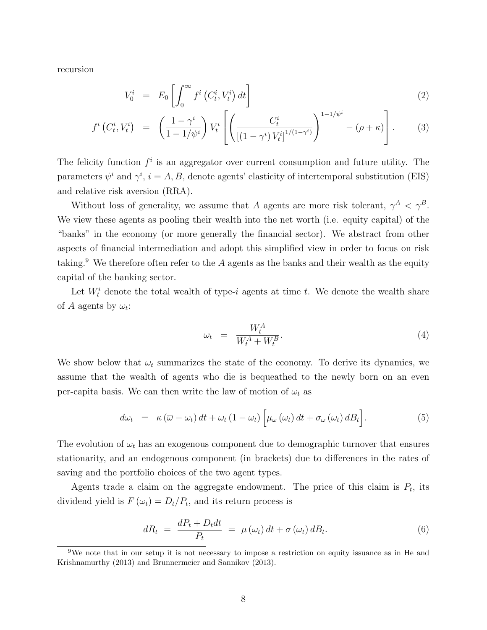recursion

<span id="page-7-1"></span>
$$
V_0^i = E_0 \left[ \int_0^\infty f^i \left( C_t^i, V_t^i \right) dt \right]
$$
 (2)

$$
f^{i}\left(C_{t}^{i}, V_{t}^{i}\right) = \left(\frac{1-\gamma^{i}}{1-1/\psi^{i}}\right)V_{t}^{i}\left[\left(\frac{C_{t}^{i}}{\left[(1-\gamma^{i})V_{t}^{i}\right]^{1/(1-\gamma^{i})}}\right)^{1-1/\psi^{i}} - (\rho + \kappa)\right].
$$
 (3)

The felicity function  $f^i$  is an aggregator over current consumption and future utility. The parameters  $\psi^i$  and  $\gamma^i$ ,  $i = A, B$ , denote agents' elasticity of intertemporal substitution (EIS) and relative risk aversion (RRA).

Without loss of generality, we assume that A agents are more risk tolerant,  $\gamma^A < \gamma^B$ . We view these agents as pooling their wealth into the net worth (i.e. equity capital) of the "banks" in the economy (or more generally the financial sector). We abstract from other aspects of financial intermediation and adopt this simplified view in order to focus on risk taking.<sup>[9](#page-7-0)</sup> We therefore often refer to the  $A$  agents as the banks and their wealth as the equity capital of the banking sector.

Let  $W_t^i$  denote the total wealth of type-i agents at time t. We denote the wealth share of A agents by  $\omega_t$ :

<span id="page-7-2"></span>
$$
\omega_t = \frac{W_t^A}{W_t^A + W_t^B}.\tag{4}
$$

We show below that  $\omega_t$  summarizes the state of the economy. To derive its dynamics, we assume that the wealth of agents who die is bequeathed to the newly born on an even per-capita basis. We can then write the law of motion of  $\omega_t$  as

$$
d\omega_t = \kappa (\overline{\omega} - \omega_t) dt + \omega_t (1 - \omega_t) \left[ \mu_\omega (\omega_t) dt + \sigma_\omega (\omega_t) dB_t \right]. \tag{5}
$$

The evolution of  $\omega_t$  has an exogenous component due to demographic turnover that ensures stationarity, and an endogenous component (in brackets) due to differences in the rates of saving and the portfolio choices of the two agent types.

Agents trade a claim on the aggregate endowment. The price of this claim is  $P_t$ , its dividend yield is  $F(\omega_t) = D_t/P_t$ , and its return process is

$$
dR_t = \frac{dP_t + D_t dt}{P_t} = \mu(\omega_t) dt + \sigma(\omega_t) dB_t.
$$
\n(6)

<span id="page-7-0"></span><sup>9</sup>We note that in our setup it is not necessary to impose a restriction on equity issuance as in [He and](#page-31-3) [Krishnamurthy](#page-31-3) [\(2013\)](#page-31-3) and [Brunnermeier and Sannikov](#page-29-10) [\(2013\)](#page-29-10).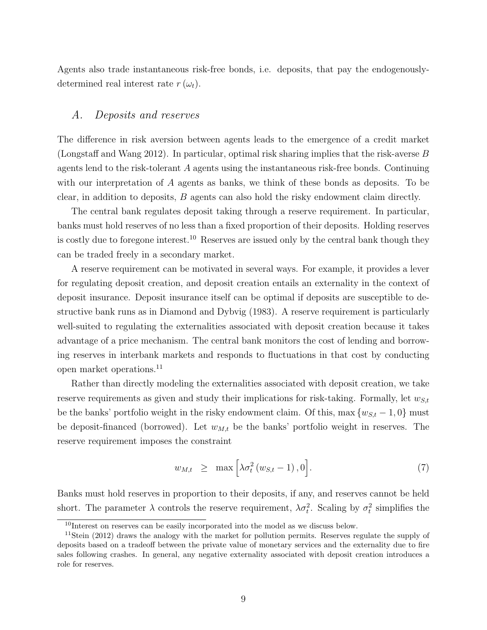Agents also trade instantaneous risk-free bonds, i.e. deposits, that pay the endogenouslydetermined real interest rate  $r(\omega_t)$ .

#### A. Deposits and reserves

The difference in risk aversion between agents leads to the emergence of a credit market [\(Longstaff and Wang](#page-32-5) [2012\)](#page-32-5). In particular, optimal risk sharing implies that the risk-averse B agents lend to the risk-tolerant A agents using the instantaneous risk-free bonds. Continuing with our interpretation of A agents as banks, we think of these bonds as deposits. To be clear, in addition to deposits,  $B$  agents can also hold the risky endowment claim directly.

The central bank regulates deposit taking through a reserve requirement. In particular, banks must hold reserves of no less than a fixed proportion of their deposits. Holding reserves is costly due to foregone interest.<sup>[10](#page-8-0)</sup> Reserves are issued only by the central bank though they can be traded freely in a secondary market.

A reserve requirement can be motivated in several ways. For example, it provides a lever for regulating deposit creation, and deposit creation entails an externality in the context of deposit insurance. Deposit insurance itself can be optimal if deposits are susceptible to destructive bank runs as in [Diamond and Dybvig](#page-30-1) [\(1983\)](#page-30-1). A reserve requirement is particularly well-suited to regulating the externalities associated with deposit creation because it takes advantage of a price mechanism. The central bank monitors the cost of lending and borrowing reserves in interbank markets and responds to fluctuations in that cost by conducting open market operations.[11](#page-8-1)

Rather than directly modeling the externalities associated with deposit creation, we take reserve requirements as given and study their implications for risk-taking. Formally, let  $w_{S,t}$ be the banks' portfolio weight in the risky endowment claim. Of this, max  $\{w_{S,t} - 1, 0\}$  must be deposit-financed (borrowed). Let  $w_{M,t}$  be the banks' portfolio weight in reserves. The reserve requirement imposes the constraint

<span id="page-8-2"></span>
$$
w_{M,t} \geq \max \left[ \lambda \sigma_t^2 \left( w_{S,t} - 1 \right), 0 \right]. \tag{7}
$$

Banks must hold reserves in proportion to their deposits, if any, and reserves cannot be held short. The parameter  $\lambda$  controls the reserve requirement,  $\lambda \sigma_t^2$ . Scaling by  $\sigma_t^2$  simplifies the

<span id="page-8-1"></span><span id="page-8-0"></span><sup>10</sup>Interest on reserves can be easily incorporated into the model as we discuss below.

<sup>&</sup>lt;sup>11</sup>[Stein](#page-32-1) [\(2012\)](#page-32-1) draws the analogy with the market for pollution permits. Reserves regulate the supply of deposits based on a tradeoff between the private value of monetary services and the externality due to fire sales following crashes. In general, any negative externality associated with deposit creation introduces a role for reserves.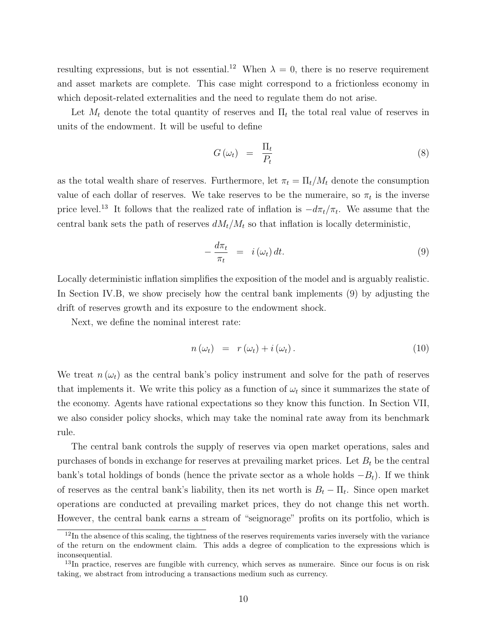resulting expressions, but is not essential.<sup>[12](#page-9-0)</sup> When  $\lambda = 0$ , there is no reserve requirement and asset markets are complete. This case might correspond to a frictionless economy in which deposit-related externalities and the need to regulate them do not arise.

Let  $M_t$  denote the total quantity of reserves and  $\Pi_t$  the total real value of reserves in units of the endowment. It will be useful to define

$$
G(\omega_t) = \frac{\Pi_t}{P_t} \tag{8}
$$

as the total wealth share of reserves. Furthermore, let  $\pi_t = \Pi_t/M_t$  denote the consumption value of each dollar of reserves. We take reserves to be the numeraire, so  $\pi_t$  is the inverse price level.<sup>[13](#page-9-1)</sup> It follows that the realized rate of inflation is  $-d\pi_t/\pi_t$ . We assume that the central bank sets the path of reserves  $dM_t/M_t$  so that inflation is locally deterministic,

<span id="page-9-2"></span>
$$
-\frac{d\pi_t}{\pi_t} = i(\omega_t) dt.
$$
\n(9)

Locally deterministic inflation simplifies the exposition of the model and is arguably realistic. In Section [IV.B](#page-11-0), we show precisely how the central bank implements [\(9\)](#page-9-2) by adjusting the drift of reserves growth and its exposure to the endowment shock.

Next, we define the nominal interest rate:

<span id="page-9-3"></span>
$$
n(\omega_t) = r(\omega_t) + i(\omega_t). \qquad (10)
$$

We treat  $n(\omega_t)$  as the central bank's policy instrument and solve for the path of reserves that implements it. We write this policy as a function of  $\omega_t$  since it summarizes the state of the economy. Agents have rational expectations so they know this function. In Section VII, we also consider policy shocks, which may take the nominal rate away from its benchmark rule.

The central bank controls the supply of reserves via open market operations, sales and purchases of bonds in exchange for reserves at prevailing market prices. Let  $B_t$  be the central bank's total holdings of bonds (hence the private sector as a whole holds  $-B_t$ ). If we think of reserves as the central bank's liability, then its net worth is  $B_t - \Pi_t$ . Since open market operations are conducted at prevailing market prices, they do not change this net worth. However, the central bank earns a stream of "seignorage" profits on its portfolio, which is

<span id="page-9-0"></span><sup>&</sup>lt;sup>12</sup>In the absence of this scaling, the tightness of the reserves requirements varies inversely with the variance of the return on the endowment claim. This adds a degree of complication to the expressions which is inconsequential.

<span id="page-9-1"></span><sup>&</sup>lt;sup>13</sup>In practice, reserves are fungible with currency, which serves as numeraire. Since our focus is on risk taking, we abstract from introducing a transactions medium such as currency.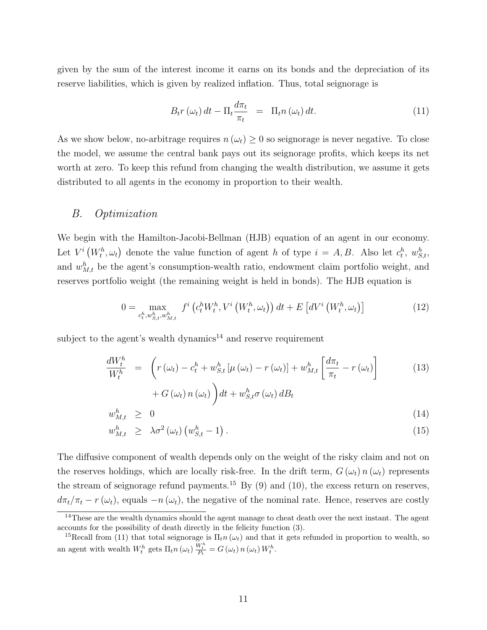given by the sum of the interest income it earns on its bonds and the depreciation of its reserve liabilities, which is given by realized inflation. Thus, total seignorage is

<span id="page-10-2"></span>
$$
B_t r\left(\omega_t\right) dt - \Pi_t \frac{d\pi_t}{\pi_t} = \Pi_t n\left(\omega_t\right) dt. \tag{11}
$$

As we show below, no-arbitrage requires  $n(\omega_t) \geq 0$  so seignorage is never negative. To close the model, we assume the central bank pays out its seignorage profits, which keeps its net worth at zero. To keep this refund from changing the wealth distribution, we assume it gets distributed to all agents in the economy in proportion to their wealth.

#### B. Optimization

We begin with the Hamilton-Jacobi-Bellman (HJB) equation of an agent in our economy. Let  $V^i(W_t^h, \omega_t)$  denote the value function of agent h of type  $i = A, B$ . Also let  $c_t^h, w_{S,t}^h$ , and  $w_{M,t}^h$  be the agent's consumption-wealth ratio, endowment claim portfolio weight, and reserves portfolio weight (the remaining weight is held in bonds). The HJB equation is

$$
0 = \max_{c_t^h, w_{S,t}^h, w_{M,t}^h} f^i\left(c_t^h W_t^h, V^i\left(W_t^h, \omega_t\right)\right) dt + E\left[dV^i\left(W_t^h, \omega_t\right)\right]
$$
(12)

subject to the agent's wealth dynamics<sup>[14](#page-10-0)</sup> and reserve requirement

$$
\frac{dW_t^h}{W_t^h} = \left( r(\omega_t) - c_t^h + w_{S,t}^h \left[ \mu(\omega_t) - r(\omega_t) \right] + w_{M,t}^h \left[ \frac{d\pi_t}{\pi_t} - r(\omega_t) \right] \right)
$$
\n(13)

$$
+ G\left(\omega_t\right) n\left(\omega_t\right) dt + w_{S,t}^h \sigma\left(\omega_t\right) dB_t
$$

$$
w_{M,t}^h \geq 0
$$
  
\n
$$
w_{M,t}^h \geq \lambda \sigma^2 (\omega_t) (w_{S,t}^h - 1).
$$
\n(14)

The diffusive component of wealth depends only on the weight of the risky claim and not on the reserves holdings, which are locally risk-free. In the drift term,  $G(\omega_t) n(\omega_t)$  represents the stream of seignorage refund payments.<sup>[15](#page-10-1)</sup> By [\(9\)](#page-9-2) and [\(10\)](#page-9-3), the excess return on reserves,  $d\pi_t/\pi_t$  – r ( $\omega_t$ ), equals –n ( $\omega_t$ ), the negative of the nominal rate. Hence, reserves are costly

<span id="page-10-0"></span><sup>&</sup>lt;sup>14</sup>These are the wealth dynamics should the agent manage to cheat death over the next instant. The agent accounts for the possibility of death directly in the felicity function [\(3\)](#page-7-1).

<span id="page-10-1"></span><sup>&</sup>lt;sup>15</sup>Recall from [\(11\)](#page-10-2) that total seignorage is  $\Pi_t n(\omega_t)$  and that it gets refunded in proportion to wealth, so an agent with wealth  $W_t^h$  gets  $\Pi_t n(\omega_t) \frac{W_t^h}{P_t} = G(\omega_t) n(\omega_t) W_t^h$ .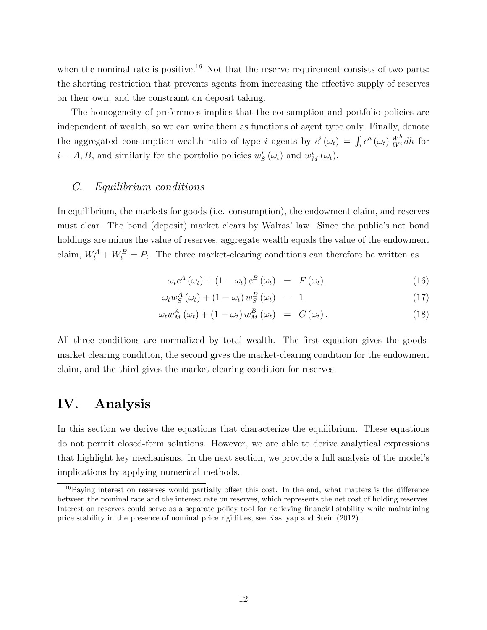when the nominal rate is positive.<sup>[16](#page-11-1)</sup> Not that the reserve requirement consists of two parts: the shorting restriction that prevents agents from increasing the effective supply of reserves on their own, and the constraint on deposit taking.

The homogeneity of preferences implies that the consumption and portfolio policies are independent of wealth, so we can write them as functions of agent type only. Finally, denote the aggregated consumption-wealth ratio of type *i* agents by  $c^i(\omega_t) = \int_i c^h(\omega_t) \frac{W^h}{W^i} dh$  for  $i = A, B$ , and similarly for the portfolio policies  $w_S^i(\omega_t)$  and  $w_M^i(\omega_t)$ .

#### C. Equilibrium conditions

In equilibrium, the markets for goods (i.e. consumption), the endowment claim, and reserves must clear. The bond (deposit) market clears by Walras' law. Since the public's net bond holdings are minus the value of reserves, aggregate wealth equals the value of the endowment claim,  $W_t^A + W_t^B = P_t$ . The three market-clearing conditions can therefore be written as

<span id="page-11-2"></span>
$$
\omega_t c^A \left( \omega_t \right) + \left( 1 - \omega_t \right) c^B \left( \omega_t \right) = F \left( \omega_t \right) \tag{16}
$$

$$
\omega_t w_S^A \left( \omega_t \right) + \left( 1 - \omega_t \right) w_S^B \left( \omega_t \right) = 1 \tag{17}
$$

$$
\omega_t w_M^A(\omega_t) + (1 - \omega_t) w_M^B(\omega_t) = G(\omega_t).
$$
\n(18)

All three conditions are normalized by total wealth. The first equation gives the goodsmarket clearing condition, the second gives the market-clearing condition for the endowment claim, and the third gives the market-clearing condition for reserves.

### <span id="page-11-0"></span>IV. Analysis

In this section we derive the equations that characterize the equilibrium. These equations do not permit closed-form solutions. However, we are able to derive analytical expressions that highlight key mechanisms. In the next section, we provide a full analysis of the model's implications by applying numerical methods.

<span id="page-11-1"></span><sup>16</sup>Paying interest on reserves would partially offset this cost. In the end, what matters is the difference between the nominal rate and the interest rate on reserves, which represents the net cost of holding reserves. Interest on reserves could serve as a separate policy tool for achieving financial stability while maintaining price stability in the presence of nominal price rigidities, see [Kashyap and Stein](#page-31-11) [\(2012\)](#page-31-11).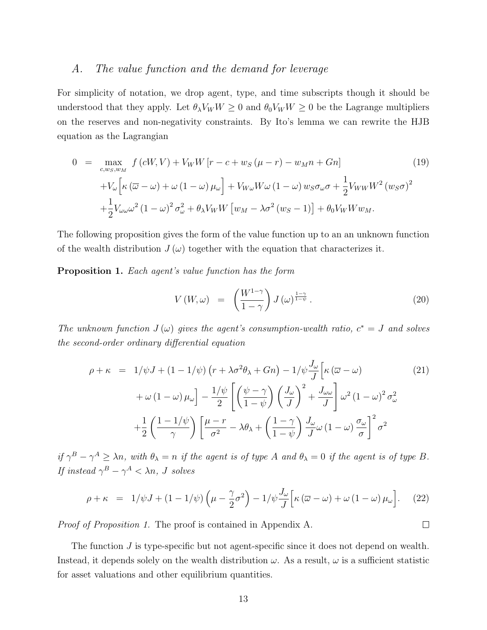#### A. The value function and the demand for leverage

For simplicity of notation, we drop agent, type, and time subscripts though it should be understood that they apply. Let  $\theta_{\lambda}V_{W}W \ge 0$  and  $\theta_{0}V_{W}W \ge 0$  be the Lagrange multipliers on the reserves and non-negativity constraints. By Ito's lemma we can rewrite the HJB equation as the Lagrangian

<span id="page-12-2"></span>
$$
0 = \max_{c,w_S,w_M} f(cW,V) + V_W W [r - c + w_S(\mu - r) - w_M n + Gn]
$$
(19)  
+
$$
V_\omega \Big[ \kappa (\overline{\omega} - \omega) + \omega (1 - \omega) \mu_\omega \Big] + V_{W\omega} W \omega (1 - \omega) w_S \sigma_\omega \sigma + \frac{1}{2} V_{WW} W^2 (w_S \sigma)^2
$$

$$
+ \frac{1}{2} V_{\omega \omega} \omega^2 (1 - \omega)^2 \sigma_\omega^2 + \theta_\lambda V_W W [w_M - \lambda \sigma^2 (w_S - 1)] + \theta_0 V_W W w_M.
$$

The following proposition gives the form of the value function up to an an unknown function of the wealth distribution  $J(\omega)$  together with the equation that characterizes it.

<span id="page-12-0"></span>Proposition 1. Each agent's value function has the form

<span id="page-12-1"></span>
$$
V(W,\omega) = \left(\frac{W^{1-\gamma}}{1-\gamma}\right)J(\omega)^{\frac{1-\gamma}{1-\psi}}.
$$
\n(20)

 $\Box$ 

The unknown function  $J(\omega)$  gives the agent's consumption-wealth ratio,  $c^* = J$  and solves the second-order ordinary differential equation

$$
\rho + \kappa = 1/\psi J + (1 - 1/\psi) \left(r + \lambda \sigma^2 \theta_\lambda + Gn\right) - 1/\psi \frac{J_\omega}{J} \left[\kappa \left(\overline{\omega} - \omega\right) \right]
$$

$$
+ \omega \left(1 - \omega\right) \mu_\omega \right] - \frac{1/\psi}{2} \left[ \left(\frac{\psi - \gamma}{1 - \psi}\right) \left(\frac{J_\omega}{J}\right)^2 + \frac{J_\omega}{J} \right] \omega^2 \left(1 - \omega\right)^2 \sigma_\omega^2
$$

$$
+ \frac{1}{2} \left(\frac{1 - 1/\psi}{\gamma}\right) \left[\frac{\mu - r}{\sigma^2} - \lambda \theta_\lambda + \left(\frac{1 - \gamma}{1 - \psi}\right) \frac{J_\omega}{J} \omega \left(1 - \omega\right) \frac{\sigma_\omega}{\sigma} \right]^2 \sigma^2
$$
 (100)

if  $\gamma^B - \gamma^A \geq \lambda n$ , with  $\theta_{\lambda} = n$  if the agent is of type A and  $\theta_{\lambda} = 0$  if the agent is of type B. If instead  $\gamma^B - \gamma^A < \lambda n$ , J solves

$$
\rho + \kappa = 1/\psi J + (1 - 1/\psi) \left( \mu - \frac{\gamma}{2} \sigma^2 \right) - 1/\psi \frac{J_\omega}{J} \left[ \kappa \left( \overline{\omega} - \omega \right) + \omega \left( 1 - \omega \right) \mu_\omega \right]. \tag{22}
$$

Proof of Proposition [1.](#page-12-0) The proof is contained in Appendix A.

The function J is type-specific but not agent-specific since it does not depend on wealth. Instead, it depends solely on the wealth distribution  $\omega$ . As a result,  $\omega$  is a sufficient statistic for asset valuations and other equilibrium quantities.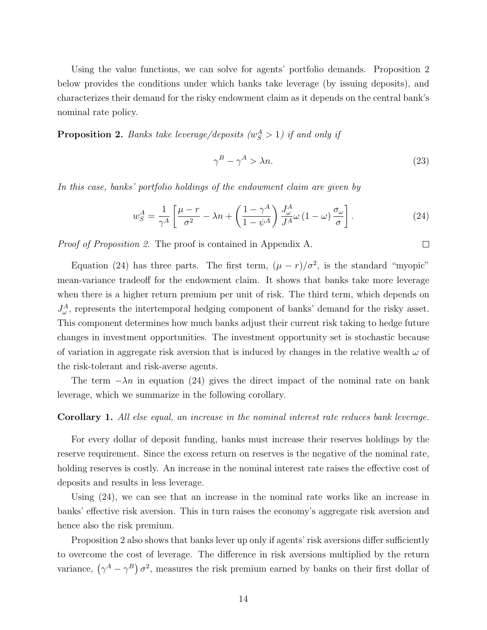Using the value functions, we can solve for agents' portfolio demands. Proposition 2 below provides the conditions under which banks take leverage (by issuing deposits), and characterizes their demand for the risky endowment claim as it depends on the central bank's nominal rate policy.

<span id="page-13-0"></span>**Proposition 2.** Banks take leverage/deposits  $(w_S^A > 1)$  if and only if

$$
\gamma^B - \gamma^A > \lambda n. \tag{23}
$$

 $\Box$ 

In this case, banks' portfolio holdings of the endowment claim are given by

<span id="page-13-1"></span>
$$
w_S^A = \frac{1}{\gamma^A} \left[ \frac{\mu - r}{\sigma^2} - \lambda n + \left( \frac{1 - \gamma^A}{1 - \psi^A} \right) \frac{J_\omega^A}{J^A} \omega \left( 1 - \omega \right) \frac{\sigma_\omega}{\sigma} \right]. \tag{24}
$$

Proof of Proposition [2.](#page-13-0) The proof is contained in Appendix A.

Equation [\(24\)](#page-13-1) has three parts. The first term,  $(\mu - r)/\sigma^2$ , is the standard "myopic" mean-variance tradeoff for the endowment claim. It shows that banks take more leverage when there is a higher return premium per unit of risk. The third term, which depends on  $J_{\omega}^{A}$ , represents the intertemporal hedging component of banks' demand for the risky asset. This component determines how much banks adjust their current risk taking to hedge future changes in investment opportunities. The investment opportunity set is stochastic because of variation in aggregate risk aversion that is induced by changes in the relative wealth  $\omega$  of the risk-tolerant and risk-averse agents.

The term  $-\lambda n$  in equation [\(24\)](#page-13-1) gives the direct impact of the nominal rate on bank leverage, which we summarize in the following corollary.

#### Corollary 1. All else equal, an increase in the nominal interest rate reduces bank leverage.

For every dollar of deposit funding, banks must increase their reserves holdings by the reserve requirement. Since the excess return on reserves is the negative of the nominal rate, holding reserves is costly. An increase in the nominal interest rate raises the effective cost of deposits and results in less leverage.

Using [\(24\)](#page-13-1), we can see that an increase in the nominal rate works like an increase in banks' effective risk aversion. This in turn raises the economy's aggregate risk aversion and hence also the risk premium.

Proposition [2](#page-13-0) also shows that banks lever up only if agents' risk aversions differ sufficiently to overcome the cost of leverage. The difference in risk aversions multiplied by the return variance,  $(\gamma^A - \gamma^B)\sigma^2$ , measures the risk premium earned by banks on their first dollar of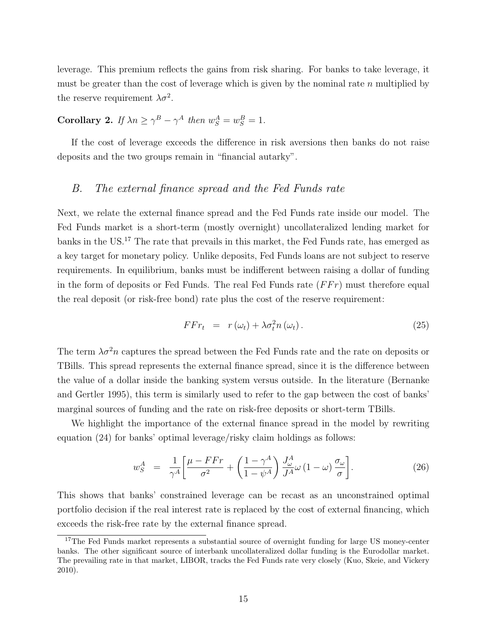leverage. This premium reflects the gains from risk sharing. For banks to take leverage, it must be greater than the cost of leverage which is given by the nominal rate  $n$  multiplied by the reserve requirement  $\lambda \sigma^2$ .

### <span id="page-14-2"></span>**Corollary 2.** If  $\lambda n \ge \gamma^B - \gamma^A$  then  $w_S^A = w_S^B = 1$ .

If the cost of leverage exceeds the difference in risk aversions then banks do not raise deposits and the two groups remain in "financial autarky".

### B. The external finance spread and the Fed Funds rate

Next, we relate the external finance spread and the Fed Funds rate inside our model. The Fed Funds market is a short-term (mostly overnight) uncollateralized lending market for banks in the US.[17](#page-14-0) The rate that prevails in this market, the Fed Funds rate, has emerged as a key target for monetary policy. Unlike deposits, Fed Funds loans are not subject to reserve requirements. In equilibrium, banks must be indifferent between raising a dollar of funding in the form of deposits or Fed Funds. The real Fed Funds rate  $(FFr)$  must therefore equal the real deposit (or risk-free bond) rate plus the cost of the reserve requirement:

$$
F F r_t = r(\omega_t) + \lambda \sigma_t^2 n(\omega_t). \qquad (25)
$$

The term  $\lambda \sigma^2 n$  captures the spread between the Fed Funds rate and the rate on deposits or TBills. This spread represents the external finance spread, since it is the difference between the value of a dollar inside the banking system versus outside. In the literature [\(Bernanke](#page-29-2) [and Gertler](#page-29-2) [1995\)](#page-29-2), this term is similarly used to refer to the gap between the cost of banks' marginal sources of funding and the rate on risk-free deposits or short-term TBills.

We highlight the importance of the external finance spread in the model by rewriting equation [\(24\)](#page-13-1) for banks' optimal leverage/risky claim holdings as follows:

<span id="page-14-1"></span>
$$
w_S^A = \frac{1}{\gamma^A} \left[ \frac{\mu - FFr}{\sigma^2} + \left( \frac{1 - \gamma^A}{1 - \psi^A} \right) \frac{J_\omega^A}{J^A} \omega \left( 1 - \omega \right) \frac{\sigma_\omega}{\sigma} \right]. \tag{26}
$$

This shows that banks' constrained leverage can be recast as an unconstrained optimal portfolio decision if the real interest rate is replaced by the cost of external financing, which exceeds the risk-free rate by the external finance spread.

<span id="page-14-0"></span><sup>&</sup>lt;sup>17</sup>The Fed Funds market represents a substantial source of overnight funding for large US money-center banks. The other significant source of interbank uncollateralized dollar funding is the Eurodollar market. The prevailing rate in that market, LIBOR, tracks the Fed Funds rate very closely [\(Kuo, Skeie, and Vickery](#page-31-12) [2010\)](#page-31-12).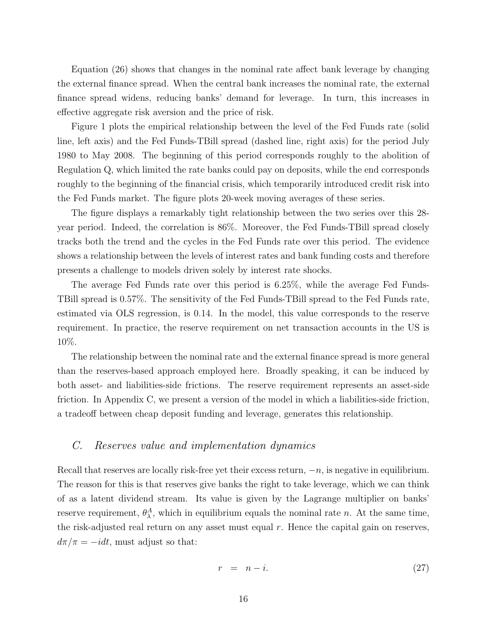Equation [\(26\)](#page-14-1) shows that changes in the nominal rate affect bank leverage by changing the external finance spread. When the central bank increases the nominal rate, the external finance spread widens, reducing banks' demand for leverage. In turn, this increases in effective aggregate risk aversion and the price of risk.

Figure [1](#page-47-0) plots the empirical relationship between the level of the Fed Funds rate (solid line, left axis) and the Fed Funds-TBill spread (dashed line, right axis) for the period July 1980 to May 2008. The beginning of this period corresponds roughly to the abolition of Regulation Q, which limited the rate banks could pay on deposits, while the end corresponds roughly to the beginning of the financial crisis, which temporarily introduced credit risk into the Fed Funds market. The figure plots 20-week moving averages of these series.

The figure displays a remarkably tight relationship between the two series over this 28 year period. Indeed, the correlation is 86%. Moreover, the Fed Funds-TBill spread closely tracks both the trend and the cycles in the Fed Funds rate over this period. The evidence shows a relationship between the levels of interest rates and bank funding costs and therefore presents a challenge to models driven solely by interest rate shocks.

The average Fed Funds rate over this period is 6.25%, while the average Fed Funds-TBill spread is 0.57%. The sensitivity of the Fed Funds-TBill spread to the Fed Funds rate, estimated via OLS regression, is 0.14. In the model, this value corresponds to the reserve requirement. In practice, the reserve requirement on net transaction accounts in the US is 10%.

The relationship between the nominal rate and the external finance spread is more general than the reserves-based approach employed here. Broadly speaking, it can be induced by both asset- and liabilities-side frictions. The reserve requirement represents an asset-side friction. In Appendix C, we present a version of the model in which a liabilities-side friction, a tradeoff between cheap deposit funding and leverage, generates this relationship.

#### C. Reserves value and implementation dynamics

Recall that reserves are locally risk-free yet their excess return,  $-n$ , is negative in equilibrium. The reason for this is that reserves give banks the right to take leverage, which we can think of as a latent dividend stream. Its value is given by the Lagrange multiplier on banks' reserve requirement,  $\theta_{\lambda}^{A}$ , which in equilibrium equals the nominal rate n. At the same time, the risk-adjusted real return on any asset must equal r. Hence the capital gain on reserves,  $d\pi/\pi = -idt$ , must adjust so that:

$$
r = n - i. \tag{27}
$$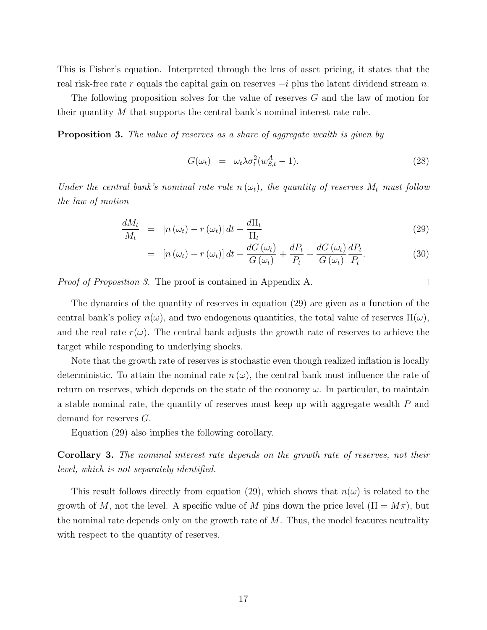This is Fisher's equation. Interpreted through the lens of asset pricing, it states that the real risk-free rate r equals the capital gain on reserves  $-i$  plus the latent dividend stream n.

The following proposition solves for the value of reserves G and the law of motion for their quantity M that supports the central bank's nominal interest rate rule.

<span id="page-16-0"></span>**Proposition 3.** The value of reserves as a share of aggregate wealth is given by

<span id="page-16-2"></span>
$$
G(\omega_t) = \omega_t \lambda \sigma_t^2 (w_{S,t}^A - 1). \tag{28}
$$

 $\Box$ 

Under the central bank's nominal rate rule  $n(\omega_t)$ , the quantity of reserves  $M_t$  must follow the law of motion

<span id="page-16-1"></span>
$$
\frac{dM_t}{M_t} = [n(\omega_t) - r(\omega_t)] dt + \frac{d\Pi_t}{\Pi_t}
$$
\n(29)

$$
= \left[ n(\omega_t) - r(\omega_t) \right] dt + \frac{dG(\omega_t)}{G(\omega_t)} + \frac{dP_t}{P_t} + \frac{dG(\omega_t)}{G(\omega_t)} \frac{dP_t}{P_t}.
$$
\n(30)

Proof of Proposition [3.](#page-16-0) The proof is contained in Appendix A.

The dynamics of the quantity of reserves in equation [\(29\)](#page-16-1) are given as a function of the central bank's policy  $n(\omega)$ , and two endogenous quantities, the total value of reserves  $\Pi(\omega)$ , and the real rate  $r(\omega)$ . The central bank adjusts the growth rate of reserves to achieve the target while responding to underlying shocks.

Note that the growth rate of reserves is stochastic even though realized inflation is locally deterministic. To attain the nominal rate  $n(\omega)$ , the central bank must influence the rate of return on reserves, which depends on the state of the economy  $\omega$ . In particular, to maintain a stable nominal rate, the quantity of reserves must keep up with aggregate wealth P and demand for reserves G.

Equation [\(29\)](#page-16-1) also implies the following corollary.

Corollary 3. The nominal interest rate depends on the growth rate of reserves, not their level, which is not separately identified.

This result follows directly from equation [\(29\)](#page-16-1), which shows that  $n(\omega)$  is related to the growth of M, not the level. A specific value of M pins down the price level  $(\Pi = M\pi)$ , but the nominal rate depends only on the growth rate of  $M$ . Thus, the model features neutrality with respect to the quantity of reserves.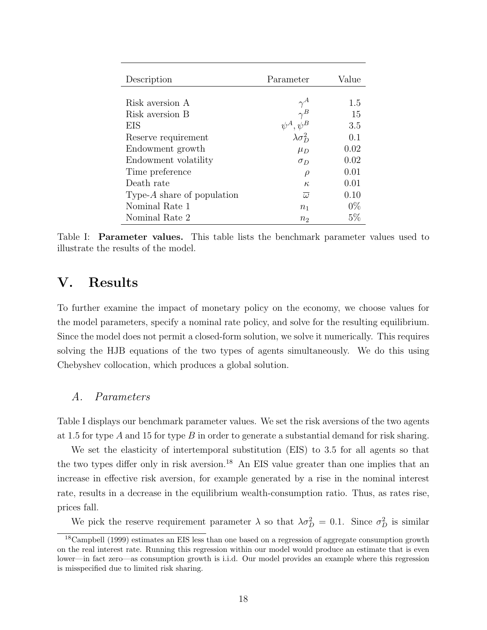| Description                   | Parameter            | Value |
|-------------------------------|----------------------|-------|
|                               |                      |       |
| Risk aversion A               |                      | 1.5   |
| Risk aversion B               |                      | 15    |
| EIS                           | $\psi^A, \psi^B$     | 3.5   |
| Reserve requirement           | $\lambda \sigma_D^2$ | 0.1   |
| Endowment growth              | $\mu_D$              | 0.02  |
| Endowment volatility          | $\sigma_D$           | 0.02  |
| Time preference               | $\rho$               | 0.01  |
| Death rate                    | $\kappa$             | 0.01  |
| Type- $A$ share of population | $\overline{\omega}$  | 0.10  |
| Nominal Rate 1                | $n_{1}$              | $0\%$ |
| Nominal Rate 2                | n <sub>2</sub>       | $5\%$ |

<span id="page-17-0"></span>Table I: Parameter values. This table lists the benchmark parameter values used to illustrate the results of the model.

### V. Results

To further examine the impact of monetary policy on the economy, we choose values for the model parameters, specify a nominal rate policy, and solve for the resulting equilibrium. Since the model does not permit a closed-form solution, we solve it numerically. This requires solving the HJB equations of the two types of agents simultaneously. We do this using Chebyshev collocation, which produces a global solution.

#### A. Parameters

Table [I](#page-17-0) displays our benchmark parameter values. We set the risk aversions of the two agents at 1.5 for type A and 15 for type B in order to generate a substantial demand for risk sharing.

We set the elasticity of intertemporal substitution (EIS) to 3.5 for all agents so that the two types differ only in risk aversion.<sup>[18](#page-17-1)</sup> An EIS value greater than one implies that an increase in effective risk aversion, for example generated by a rise in the nominal interest rate, results in a decrease in the equilibrium wealth-consumption ratio. Thus, as rates rise, prices fall.

We pick the reserve requirement parameter  $\lambda$  so that  $\lambda \sigma_D^2 = 0.1$ . Since  $\sigma_D^2$  is similar

<span id="page-17-1"></span><sup>18</sup>[Campbell](#page-30-13) [\(1999\)](#page-30-13) estimates an EIS less than one based on a regression of aggregate consumption growth on the real interest rate. Running this regression within our model would produce an estimate that is even lower—in fact zero—as consumption growth is i.i.d. Our model provides an example where this regression is misspecified due to limited risk sharing.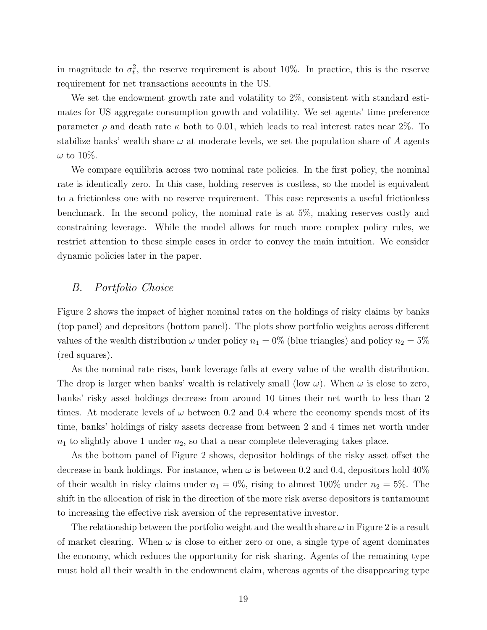in magnitude to  $\sigma_t^2$ , the reserve requirement is about 10%. In practice, this is the reserve requirement for net transactions accounts in the US.

We set the endowment growth rate and volatility to  $2\%$ , consistent with standard estimates for US aggregate consumption growth and volatility. We set agents' time preference parameter  $\rho$  and death rate  $\kappa$  both to 0.01, which leads to real interest rates near 2%. To stabilize banks' wealth share  $\omega$  at moderate levels, we set the population share of A agents  $\overline{\omega}$  to 10%.

We compare equilibria across two nominal rate policies. In the first policy, the nominal rate is identically zero. In this case, holding reserves is costless, so the model is equivalent to a frictionless one with no reserve requirement. This case represents a useful frictionless benchmark. In the second policy, the nominal rate is at 5%, making reserves costly and constraining leverage. While the model allows for much more complex policy rules, we restrict attention to these simple cases in order to convey the main intuition. We consider dynamic policies later in the paper.

#### B. Portfolio Choice

Figure [2](#page-48-0) shows the impact of higher nominal rates on the holdings of risky claims by banks (top panel) and depositors (bottom panel). The plots show portfolio weights across different values of the wealth distribution  $\omega$  under policy  $n_1 = 0\%$  (blue triangles) and policy  $n_2 = 5\%$ (red squares).

As the nominal rate rises, bank leverage falls at every value of the wealth distribution. The drop is larger when banks' wealth is relatively small (low  $\omega$ ). When  $\omega$  is close to zero, banks' risky asset holdings decrease from around 10 times their net worth to less than 2 times. At moderate levels of  $\omega$  between 0.2 and 0.4 where the economy spends most of its time, banks' holdings of risky assets decrease from between 2 and 4 times net worth under  $n_1$  to slightly above 1 under  $n_2$ , so that a near complete deleveraging takes place.

As the bottom panel of Figure [2](#page-48-0) shows, depositor holdings of the risky asset offset the decrease in bank holdings. For instance, when  $\omega$  is between 0.2 and 0.4, depositors hold 40% of their wealth in risky claims under  $n_1 = 0\%$ , rising to almost 100% under  $n_2 = 5\%$ . The shift in the allocation of risk in the direction of the more risk averse depositors is tantamount to increasing the effective risk aversion of the representative investor.

The relationship between the portfolio weight and the wealth share  $\omega$  in Figure [2](#page-48-0) is a result of market clearing. When  $\omega$  is close to either zero or one, a single type of agent dominates the economy, which reduces the opportunity for risk sharing. Agents of the remaining type must hold all their wealth in the endowment claim, whereas agents of the disappearing type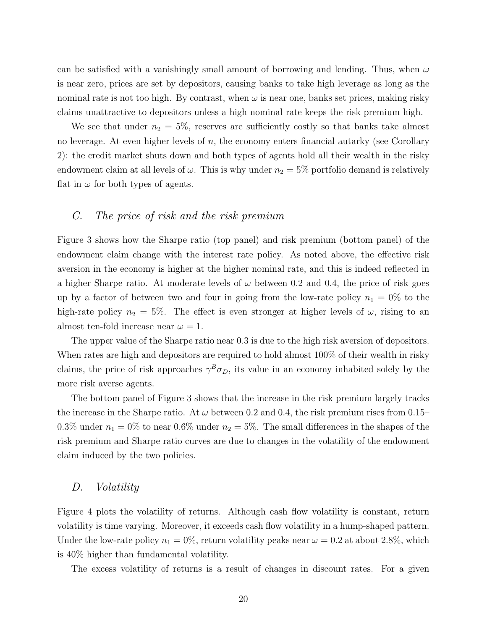can be satisfied with a vanishingly small amount of borrowing and lending. Thus, when  $\omega$ is near zero, prices are set by depositors, causing banks to take high leverage as long as the nominal rate is not too high. By contrast, when  $\omega$  is near one, banks set prices, making risky claims unattractive to depositors unless a high nominal rate keeps the risk premium high.

We see that under  $n_2 = 5\%$ , reserves are sufficiently costly so that banks take almost no leverage. At even higher levels of  $n$ , the economy enters financial autarky (see Corollary [2\)](#page-14-2): the credit market shuts down and both types of agents hold all their wealth in the risky endowment claim at all levels of  $\omega$ . This is why under  $n_2 = 5\%$  portfolio demand is relatively flat in  $\omega$  for both types of agents.

#### C. The price of risk and the risk premium

Figure [3](#page-49-0) shows how the Sharpe ratio (top panel) and risk premium (bottom panel) of the endowment claim change with the interest rate policy. As noted above, the effective risk aversion in the economy is higher at the higher nominal rate, and this is indeed reflected in a higher Sharpe ratio. At moderate levels of  $\omega$  between 0.2 and 0.4, the price of risk goes up by a factor of between two and four in going from the low-rate policy  $n_1 = 0\%$  to the high-rate policy  $n_2 = 5\%$ . The effect is even stronger at higher levels of  $\omega$ , rising to an almost ten-fold increase near  $\omega = 1$ .

The upper value of the Sharpe ratio near 0.3 is due to the high risk aversion of depositors. When rates are high and depositors are required to hold almost  $100\%$  of their wealth in risky claims, the price of risk approaches  $\gamma^B \sigma_D$ , its value in an economy inhabited solely by the more risk averse agents.

The bottom panel of Figure [3](#page-49-0) shows that the increase in the risk premium largely tracks the increase in the Sharpe ratio. At  $\omega$  between 0.2 and 0.4, the risk premium rises from 0.15– 0.3% under  $n_1 = 0\%$  to near 0.6% under  $n_2 = 5\%$ . The small differences in the shapes of the risk premium and Sharpe ratio curves are due to changes in the volatility of the endowment claim induced by the two policies.

#### D. Volatility

Figure [4](#page-50-0) plots the volatility of returns. Although cash flow volatility is constant, return volatility is time varying. Moreover, it exceeds cash flow volatility in a hump-shaped pattern. Under the low-rate policy  $n_1 = 0\%$ , return volatility peaks near  $\omega = 0.2$  at about 2.8%, which is 40% higher than fundamental volatility.

The excess volatility of returns is a result of changes in discount rates. For a given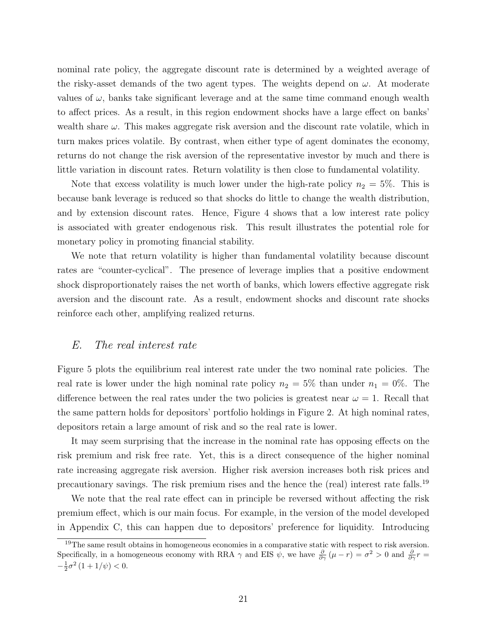nominal rate policy, the aggregate discount rate is determined by a weighted average of the risky-asset demands of the two agent types. The weights depend on  $\omega$ . At moderate values of  $\omega$ , banks take significant leverage and at the same time command enough wealth to affect prices. As a result, in this region endowment shocks have a large effect on banks' wealth share  $\omega$ . This makes aggregate risk aversion and the discount rate volatile, which in turn makes prices volatile. By contrast, when either type of agent dominates the economy, returns do not change the risk aversion of the representative investor by much and there is little variation in discount rates. Return volatility is then close to fundamental volatility.

Note that excess volatility is much lower under the high-rate policy  $n_2 = 5\%$ . This is because bank leverage is reduced so that shocks do little to change the wealth distribution, and by extension discount rates. Hence, Figure [4](#page-50-0) shows that a low interest rate policy is associated with greater endogenous risk. This result illustrates the potential role for monetary policy in promoting financial stability.

We note that return volatility is higher than fundamental volatility because discount rates are "counter-cyclical". The presence of leverage implies that a positive endowment shock disproportionately raises the net worth of banks, which lowers effective aggregate risk aversion and the discount rate. As a result, endowment shocks and discount rate shocks reinforce each other, amplifying realized returns.

#### E. The real interest rate

Figure [5](#page-51-0) plots the equilibrium real interest rate under the two nominal rate policies. The real rate is lower under the high nominal rate policy  $n_2 = 5\%$  than under  $n_1 = 0\%$ . The difference between the real rates under the two policies is greatest near  $\omega = 1$ . Recall that the same pattern holds for depositors' portfolio holdings in Figure [2.](#page-48-0) At high nominal rates, depositors retain a large amount of risk and so the real rate is lower.

It may seem surprising that the increase in the nominal rate has opposing effects on the risk premium and risk free rate. Yet, this is a direct consequence of the higher nominal rate increasing aggregate risk aversion. Higher risk aversion increases both risk prices and precautionary savings. The risk premium rises and the hence the (real) interest rate falls.[19](#page-20-0)

We note that the real rate effect can in principle be reversed without affecting the risk premium effect, which is our main focus. For example, in the version of the model developed in Appendix C, this can happen due to depositors' preference for liquidity. Introducing

<span id="page-20-0"></span><sup>&</sup>lt;sup>19</sup>The same result obtains in homogeneous economies in a comparative static with respect to risk aversion. Specifically, in a homogeneous economy with RRA  $\gamma$  and EIS  $\psi$ , we have  $\frac{\partial}{\partial \gamma}(\mu - r) = \sigma^2 > 0$  and  $\frac{\partial}{\partial \gamma}r =$  $-\frac{1}{2}\sigma^2(1+1/\psi) < 0.$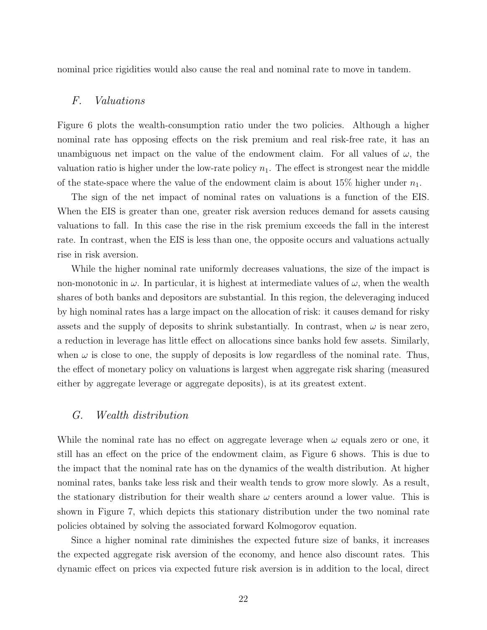nominal price rigidities would also cause the real and nominal rate to move in tandem.

#### F. Valuations

Figure [6](#page-52-0) plots the wealth-consumption ratio under the two policies. Although a higher nominal rate has opposing effects on the risk premium and real risk-free rate, it has an unambiguous net impact on the value of the endowment claim. For all values of  $\omega$ , the valuation ratio is higher under the low-rate policy  $n_1$ . The effect is strongest near the middle of the state-space where the value of the endowment claim is about 15% higher under  $n_1$ .

The sign of the net impact of nominal rates on valuations is a function of the EIS. When the EIS is greater than one, greater risk aversion reduces demand for assets causing valuations to fall. In this case the rise in the risk premium exceeds the fall in the interest rate. In contrast, when the EIS is less than one, the opposite occurs and valuations actually rise in risk aversion.

While the higher nominal rate uniformly decreases valuations, the size of the impact is non-monotonic in  $\omega$ . In particular, it is highest at intermediate values of  $\omega$ , when the wealth shares of both banks and depositors are substantial. In this region, the deleveraging induced by high nominal rates has a large impact on the allocation of risk: it causes demand for risky assets and the supply of deposits to shrink substantially. In contrast, when  $\omega$  is near zero, a reduction in leverage has little effect on allocations since banks hold few assets. Similarly, when  $\omega$  is close to one, the supply of deposits is low regardless of the nominal rate. Thus, the effect of monetary policy on valuations is largest when aggregate risk sharing (measured either by aggregate leverage or aggregate deposits), is at its greatest extent.

#### G. Wealth distribution

While the nominal rate has no effect on aggregate leverage when  $\omega$  equals zero or one, it still has an effect on the price of the endowment claim, as Figure [6](#page-52-0) shows. This is due to the impact that the nominal rate has on the dynamics of the wealth distribution. At higher nominal rates, banks take less risk and their wealth tends to grow more slowly. As a result, the stationary distribution for their wealth share  $\omega$  centers around a lower value. This is shown in Figure [7,](#page-53-0) which depicts this stationary distribution under the two nominal rate policies obtained by solving the associated forward Kolmogorov equation.

Since a higher nominal rate diminishes the expected future size of banks, it increases the expected aggregate risk aversion of the economy, and hence also discount rates. This dynamic effect on prices via expected future risk aversion is in addition to the local, direct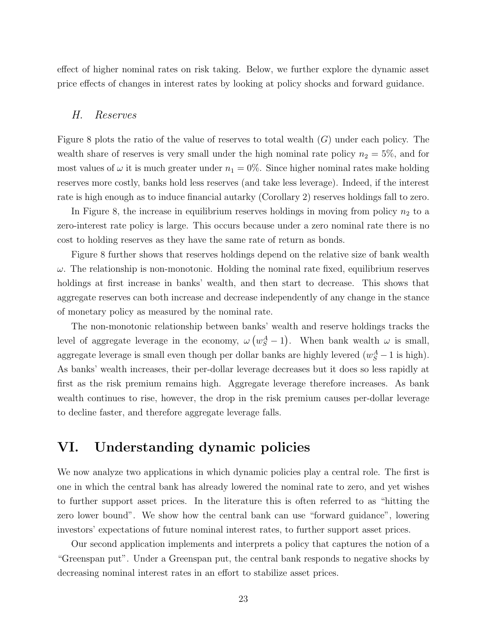effect of higher nominal rates on risk taking. Below, we further explore the dynamic asset price effects of changes in interest rates by looking at policy shocks and forward guidance.

#### H. Reserves

Figure [8](#page-54-0) plots the ratio of the value of reserves to total wealth  $(G)$  under each policy. The wealth share of reserves is very small under the high nominal rate policy  $n_2 = 5\%$ , and for most values of  $\omega$  it is much greater under  $n_1 = 0\%$ . Since higher nominal rates make holding reserves more costly, banks hold less reserves (and take less leverage). Indeed, if the interest rate is high enough as to induce financial autarky (Corollary [2\)](#page-14-2) reserves holdings fall to zero.

In Figure [8,](#page-54-0) the increase in equilibrium reserves holdings in moving from policy  $n_2$  to a zero-interest rate policy is large. This occurs because under a zero nominal rate there is no cost to holding reserves as they have the same rate of return as bonds.

Figure [8](#page-54-0) further shows that reserves holdings depend on the relative size of bank wealth  $\omega$ . The relationship is non-monotonic. Holding the nominal rate fixed, equilibrium reserves holdings at first increase in banks' wealth, and then start to decrease. This shows that aggregate reserves can both increase and decrease independently of any change in the stance of monetary policy as measured by the nominal rate.

The non-monotonic relationship between banks' wealth and reserve holdings tracks the level of aggregate leverage in the economy,  $\omega (w_S^A - 1)$ . When bank wealth  $\omega$  is small, aggregate leverage is small even though per dollar banks are highly levered  $(w_S^A - 1$  is high). As banks' wealth increases, their per-dollar leverage decreases but it does so less rapidly at first as the risk premium remains high. Aggregate leverage therefore increases. As bank wealth continues to rise, however, the drop in the risk premium causes per-dollar leverage to decline faster, and therefore aggregate leverage falls.

### VI. Understanding dynamic policies

We now analyze two applications in which dynamic policies play a central role. The first is one in which the central bank has already lowered the nominal rate to zero, and yet wishes to further support asset prices. In the literature this is often referred to as "hitting the zero lower bound". We show how the central bank can use "forward guidance", lowering investors' expectations of future nominal interest rates, to further support asset prices.

Our second application implements and interprets a policy that captures the notion of a "Greenspan put". Under a Greenspan put, the central bank responds to negative shocks by decreasing nominal interest rates in an effort to stabilize asset prices.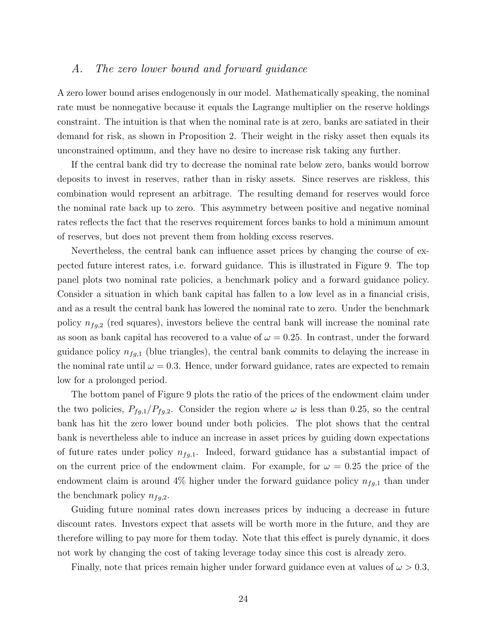#### A. The zero lower bound and forward guidance

A zero lower bound arises endogenously in our model. Mathematically speaking, the nominal rate must be nonnegative because it equals the Lagrange multiplier on the reserve holdings constraint. The intuition is that when the nominal rate is at zero, banks are satiated in their demand for risk, as shown in Proposition [2.](#page-13-0) Their weight in the risky asset then equals its unconstrained optimum, and they have no desire to increase risk taking any further.

If the central bank did try to decrease the nominal rate below zero, banks would borrow deposits to invest in reserves, rather than in risky assets. Since reserves are riskless, this combination would represent an arbitrage. The resulting demand for reserves would force the nominal rate back up to zero. This asymmetry between positive and negative nominal rates reflects the fact that the reserves requirement forces banks to hold a minimum amount of reserves, but does not prevent them from holding excess reserves.

Nevertheless, the central bank can influence asset prices by changing the course of expected future interest rates, i.e. forward guidance. This is illustrated in Figure [9.](#page-55-0) The top panel plots two nominal rate policies, a benchmark policy and a forward guidance policy. Consider a situation in which bank capital has fallen to a low level as in a financial crisis, and as a result the central bank has lowered the nominal rate to zero. Under the benchmark policy  $n_{fg,2}$  (red squares), investors believe the central bank will increase the nominal rate as soon as bank capital has recovered to a value of  $\omega = 0.25$ . In contrast, under the forward guidance policy  $n_{fg,1}$  (blue triangles), the central bank commits to delaying the increase in the nominal rate until  $\omega = 0.3$ . Hence, under forward guidance, rates are expected to remain low for a prolonged period.

The bottom panel of Figure [9](#page-55-0) plots the ratio of the prices of the endowment claim under the two policies,  $P_{fg,1}/P_{fg,2}$ . Consider the region where  $\omega$  is less than 0.25, so the central bank has hit the zero lower bound under both policies. The plot shows that the central bank is nevertheless able to induce an increase in asset prices by guiding down expectations of future rates under policy  $n_{fg,1}$ . Indeed, forward guidance has a substantial impact of on the current price of the endowment claim. For example, for  $\omega = 0.25$  the price of the endowment claim is around 4% higher under the forward guidance policy  $n_{fg,1}$  than under the benchmark policy  $n_{fa,2}$ .

Guiding future nominal rates down increases prices by inducing a decrease in future discount rates. Investors expect that assets will be worth more in the future, and they are therefore willing to pay more for them today. Note that this effect is purely dynamic, it does not work by changing the cost of taking leverage today since this cost is already zero.

Finally, note that prices remain higher under forward guidance even at values of  $\omega > 0.3$ ,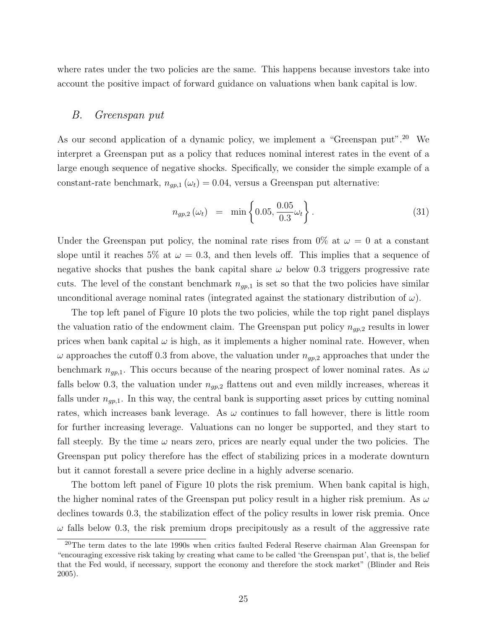where rates under the two policies are the same. This happens because investors take into account the positive impact of forward guidance on valuations when bank capital is low.

#### B. Greenspan put

As our second application of a dynamic policy, we implement a "Greenspan put".<sup>[20](#page-24-0)</sup> We interpret a Greenspan put as a policy that reduces nominal interest rates in the event of a large enough sequence of negative shocks. Specifically, we consider the simple example of a constant-rate benchmark,  $n_{gp,1}(\omega_t) = 0.04$ , versus a Greenspan put alternative:

$$
n_{gp,2}(\omega_t) = \min\left\{0.05, \frac{0.05}{0.3}\omega_t\right\}.
$$
 (31)

Under the Greenspan put policy, the nominal rate rises from 0% at  $\omega = 0$  at a constant slope until it reaches 5% at  $\omega = 0.3$ , and then levels off. This implies that a sequence of negative shocks that pushes the bank capital share  $\omega$  below 0.3 triggers progressive rate cuts. The level of the constant benchmark  $n_{qp,1}$  is set so that the two policies have similar unconditional average nominal rates (integrated against the stationary distribution of  $\omega$ ).

The top left panel of Figure [10](#page-56-0) plots the two policies, while the top right panel displays the valuation ratio of the endowment claim. The Greenspan put policy  $n_{gp,2}$  results in lower prices when bank capital  $\omega$  is high, as it implements a higher nominal rate. However, when  $\omega$  approaches the cutoff 0.3 from above, the valuation under  $n_{gp,2}$  approaches that under the benchmark  $n_{gp,1}$ . This occurs because of the nearing prospect of lower nominal rates. As  $\omega$ falls below 0.3, the valuation under  $n_{gp,2}$  flattens out and even mildly increases, whereas it falls under  $n_{gp,1}$ . In this way, the central bank is supporting asset prices by cutting nominal rates, which increases bank leverage. As  $\omega$  continues to fall however, there is little room for further increasing leverage. Valuations can no longer be supported, and they start to fall steeply. By the time  $\omega$  nears zero, prices are nearly equal under the two policies. The Greenspan put policy therefore has the effect of stabilizing prices in a moderate downturn but it cannot forestall a severe price decline in a highly adverse scenario.

The bottom left panel of Figure [10](#page-56-0) plots the risk premium. When bank capital is high, the higher nominal rates of the Greenspan put policy result in a higher risk premium. As  $\omega$ declines towards 0.3, the stabilization effect of the policy results in lower risk premia. Once  $\omega$  falls below 0.3, the risk premium drops precipitously as a result of the aggressive rate

<span id="page-24-0"></span><sup>&</sup>lt;sup>20</sup>The term dates to the late 1990s when critics faulted Federal Reserve chairman Alan Greenspan for "encouraging excessive risk taking by creating what came to be called 'the Greenspan put', that is, the belief that the Fed would, if necessary, support the economy and therefore the stock market" [\(Blinder and Reis](#page-29-4) [2005\)](#page-29-4).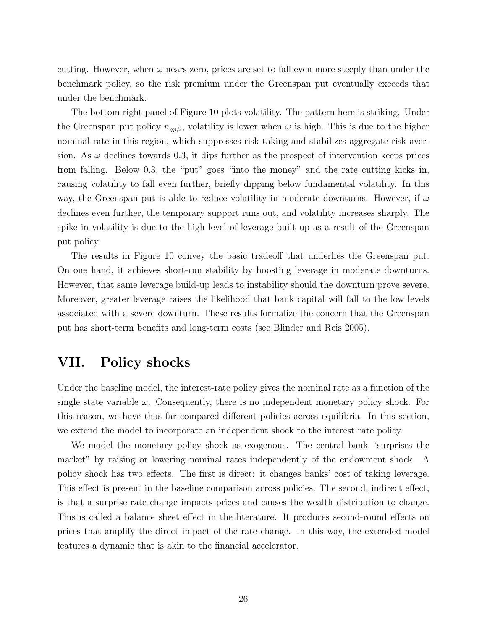cutting. However, when  $\omega$  nears zero, prices are set to fall even more steeply than under the benchmark policy, so the risk premium under the Greenspan put eventually exceeds that under the benchmark.

The bottom right panel of Figure [10](#page-56-0) plots volatility. The pattern here is striking. Under the Greenspan put policy  $n_{qp,2}$ , volatility is lower when  $\omega$  is high. This is due to the higher nominal rate in this region, which suppresses risk taking and stabilizes aggregate risk aversion. As  $\omega$  declines towards 0.3, it dips further as the prospect of intervention keeps prices from falling. Below 0.3, the "put" goes "into the money" and the rate cutting kicks in, causing volatility to fall even further, briefly dipping below fundamental volatility. In this way, the Greenspan put is able to reduce volatility in moderate downturns. However, if  $\omega$ declines even further, the temporary support runs out, and volatility increases sharply. The spike in volatility is due to the high level of leverage built up as a result of the Greenspan put policy.

The results in Figure [10](#page-56-0) convey the basic tradeoff that underlies the Greenspan put. On one hand, it achieves short-run stability by boosting leverage in moderate downturns. However, that same leverage build-up leads to instability should the downturn prove severe. Moreover, greater leverage raises the likelihood that bank capital will fall to the low levels associated with a severe downturn. These results formalize the concern that the Greenspan put has short-term benefits and long-term costs (see [Blinder and Reis](#page-29-4) [2005\)](#page-29-4).

### VII. Policy shocks

Under the baseline model, the interest-rate policy gives the nominal rate as a function of the single state variable  $\omega$ . Consequently, there is no independent monetary policy shock. For this reason, we have thus far compared different policies across equilibria. In this section, we extend the model to incorporate an independent shock to the interest rate policy.

We model the monetary policy shock as exogenous. The central bank "surprises the market" by raising or lowering nominal rates independently of the endowment shock. A policy shock has two effects. The first is direct: it changes banks' cost of taking leverage. This effect is present in the baseline comparison across policies. The second, indirect effect, is that a surprise rate change impacts prices and causes the wealth distribution to change. This is called a balance sheet effect in the literature. It produces second-round effects on prices that amplify the direct impact of the rate change. In this way, the extended model features a dynamic that is akin to the financial accelerator.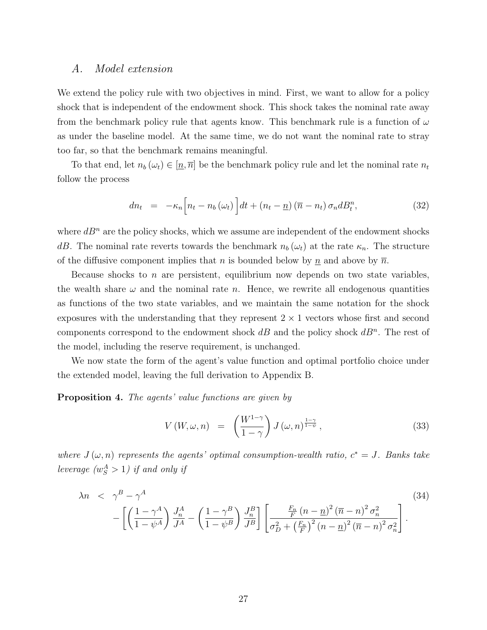#### A. Model extension

We extend the policy rule with two objectives in mind. First, we want to allow for a policy shock that is independent of the endowment shock. This shock takes the nominal rate away from the benchmark policy rule that agents know. This benchmark rule is a function of  $\omega$ as under the baseline model. At the same time, we do not want the nominal rate to stray too far, so that the benchmark remains meaningful.

To that end, let  $n_b (\omega_t) \in [\underline{n}, \overline{n}]$  be the benchmark policy rule and let the nominal rate  $n_t$ follow the process

$$
dn_t = -\kappa_n \Big[ n_t - n_b \left( \omega_t \right) \Big] dt + \left( n_t - \underline{n} \right) \left( \overline{n} - n_t \right) \sigma_n d_t^n, \tag{32}
$$

where  $dB<sup>n</sup>$  are the policy shocks, which we assume are independent of the endowment shocks dB. The nominal rate reverts towards the benchmark  $n_b (\omega_t)$  at the rate  $\kappa_n$ . The structure of the diffusive component implies that n is bounded below by  $\underline{n}$  and above by  $\overline{n}$ .

Because shocks to n are persistent, equilibrium now depends on two state variables, the wealth share  $\omega$  and the nominal rate n. Hence, we rewrite all endogenous quantities as functions of the two state variables, and we maintain the same notation for the shock exposures with the understanding that they represent  $2 \times 1$  vectors whose first and second components correspond to the endowment shock  $dB$  and the policy shock  $dB<sup>n</sup>$ . The rest of the model, including the reserve requirement, is unchanged.

We now state the form of the agent's value function and optimal portfolio choice under the extended model, leaving the full derivation to Appendix B.

#### <span id="page-26-1"></span>Proposition 4. The agents' value functions are given by

$$
V(W, \omega, n) = \left(\frac{W^{1-\gamma}}{1-\gamma}\right) J(\omega, n)^{\frac{1-\gamma}{1-\psi}}, \tag{33}
$$

where  $J(\omega, n)$  represents the agents' optimal consumption-wealth ratio,  $c^* = J$ . Banks take leverage  $(w_S^A > 1)$  if and only if

<span id="page-26-0"></span>
$$
\lambda n \quad < \quad \gamma^B - \gamma^A \tag{34}
$$
\n
$$
- \left[ \left( \frac{1 - \gamma^A}{1 - \psi^A} \right) \frac{J_n^A}{J^A} - \left( \frac{1 - \gamma^B}{1 - \psi^B} \right) \frac{J_n^B}{J^B} \right] \left[ \frac{\frac{F_n}{F} \left( n - \underline{n} \right)^2 (\overline{n} - n)^2 \sigma_n^2}{\sigma_D^2 + \left( \frac{F_n}{F} \right)^2 \left( n - \underline{n} \right)^2 (\overline{n} - n)^2 \sigma_n^2} \right].
$$
\n(34)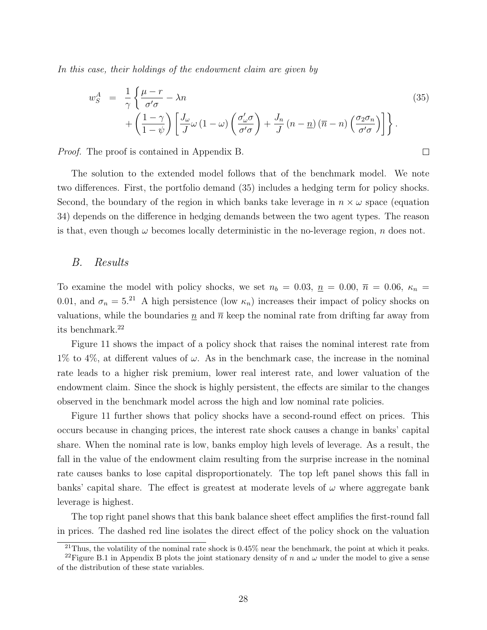In this case, their holdings of the endowment claim are given by

<span id="page-27-0"></span>
$$
w_S^A = \frac{1}{\gamma} \left\{ \frac{\mu - r}{\sigma' \sigma} - \lambda n \right\} + \left( \frac{1 - \gamma}{1 - \psi} \right) \left[ \frac{J_\omega}{J} \omega \left( 1 - \omega \right) \left( \frac{\sigma'_\omega \sigma}{\sigma' \sigma} \right) + \frac{J_n}{J} \left( n - \underline{n} \right) \left( \overline{n} - n \right) \left( \frac{\sigma_2 \sigma_n}{\sigma' \sigma} \right) \right] \right\}.
$$
\n(35)

 $\Box$ 

Proof. The proof is contained in Appendix B.

The solution to the extended model follows that of the benchmark model. We note two differences. First, the portfolio demand [\(35\)](#page-27-0) includes a hedging term for policy shocks. Second, the boundary of the region in which banks take leverage in  $n \times \omega$  space (equation [34\)](#page-26-0) depends on the difference in hedging demands between the two agent types. The reason is that, even though  $\omega$  becomes locally deterministic in the no-leverage region, n does not.

#### B. Results

To examine the model with policy shocks, we set  $n_b = 0.03$ ,  $n = 0.00$ ,  $\bar{n} = 0.06$ ,  $\kappa_n =$ 0.01, and  $\sigma_n = 5^{21}$  $\sigma_n = 5^{21}$  $\sigma_n = 5^{21}$  A high persistence (low  $\kappa_n$ ) increases their impact of policy shocks on valuations, while the boundaries  $n$  and  $\overline{n}$  keep the nominal rate from drifting far away from its benchmark.[22](#page-27-2)

Figure [11](#page-57-0) shows the impact of a policy shock that raises the nominal interest rate from 1% to 4%, at different values of  $\omega$ . As in the benchmark case, the increase in the nominal rate leads to a higher risk premium, lower real interest rate, and lower valuation of the endowment claim. Since the shock is highly persistent, the effects are similar to the changes observed in the benchmark model across the high and low nominal rate policies.

Figure [11](#page-57-0) further shows that policy shocks have a second-round effect on prices. This occurs because in changing prices, the interest rate shock causes a change in banks' capital share. When the nominal rate is low, banks employ high levels of leverage. As a result, the fall in the value of the endowment claim resulting from the surprise increase in the nominal rate causes banks to lose capital disproportionately. The top left panel shows this fall in banks' capital share. The effect is greatest at moderate levels of  $\omega$  where aggregate bank leverage is highest.

The top right panel shows that this bank balance sheet effect amplifies the first-round fall in prices. The dashed red line isolates the direct effect of the policy shock on the valuation

<span id="page-27-2"></span><span id="page-27-1"></span><sup>&</sup>lt;sup>21</sup>Thus, the volatility of the nominal rate shock is  $0.45\%$  near the benchmark, the point at which it peaks.

<sup>&</sup>lt;sup>22</sup>Figure [B.1](#page-47-0) in Appendix B plots the joint stationary density of n and  $\omega$  under the model to give a sense of the distribution of these state variables.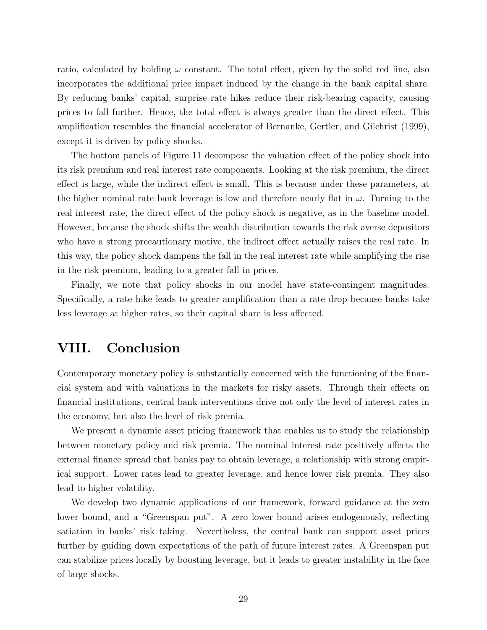ratio, calculated by holding  $\omega$  constant. The total effect, given by the solid red line, also incorporates the additional price impact induced by the change in the bank capital share. By reducing banks' capital, surprise rate hikes reduce their risk-bearing capacity, causing prices to fall further. Hence, the total effect is always greater than the direct effect. This amplification resembles the financial accelerator of [Bernanke, Gertler, and Gilchrist](#page-29-8) [\(1999\)](#page-29-8), except it is driven by policy shocks.

The bottom panels of Figure [11](#page-57-0) decompose the valuation effect of the policy shock into its risk premium and real interest rate components. Looking at the risk premium, the direct effect is large, while the indirect effect is small. This is because under these parameters, at the higher nominal rate bank leverage is low and therefore nearly flat in  $\omega$ . Turning to the real interest rate, the direct effect of the policy shock is negative, as in the baseline model. However, because the shock shifts the wealth distribution towards the risk averse depositors who have a strong precautionary motive, the indirect effect actually raises the real rate. In this way, the policy shock dampens the fall in the real interest rate while amplifying the rise in the risk premium, leading to a greater fall in prices.

Finally, we note that policy shocks in our model have state-contingent magnitudes. Specifically, a rate hike leads to greater amplification than a rate drop because banks take less leverage at higher rates, so their capital share is less affected.

### VIII. Conclusion

Contemporary monetary policy is substantially concerned with the functioning of the financial system and with valuations in the markets for risky assets. Through their effects on financial institutions, central bank interventions drive not only the level of interest rates in the economy, but also the level of risk premia.

We present a dynamic asset pricing framework that enables us to study the relationship between monetary policy and risk premia. The nominal interest rate positively affects the external finance spread that banks pay to obtain leverage, a relationship with strong empirical support. Lower rates lead to greater leverage, and hence lower risk premia. They also lead to higher volatility.

We develop two dynamic applications of our framework, forward guidance at the zero lower bound, and a "Greenspan put". A zero lower bound arises endogenously, reflecting satiation in banks' risk taking. Nevertheless, the central bank can support asset prices further by guiding down expectations of the path of future interest rates. A Greenspan put can stabilize prices locally by boosting leverage, but it leads to greater instability in the face of large shocks.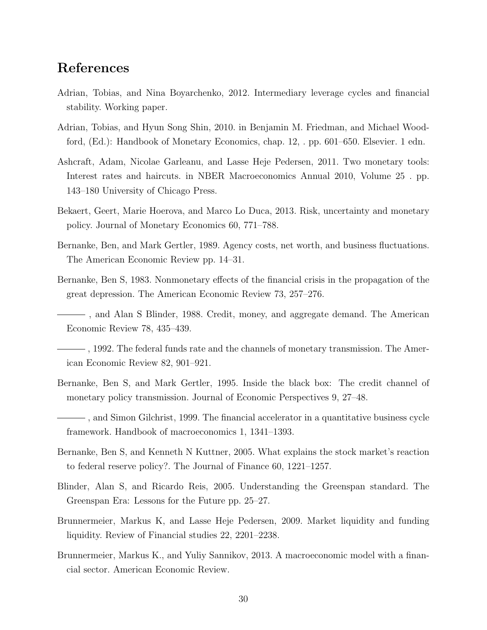### References

- <span id="page-29-9"></span>Adrian, Tobias, and Nina Boyarchenko, 2012. Intermediary leverage cycles and financial stability. Working paper.
- <span id="page-29-0"></span>Adrian, Tobias, and Hyun Song Shin, 2010. in Benjamin M. Friedman, and Michael Woodford, (Ed.): Handbook of Monetary Economics, chap. 12, . pp. 601–650. Elsevier. 1 edn.
- <span id="page-29-12"></span>Ashcraft, Adam, Nicolae Garleanu, and Lasse Heje Pedersen, 2011. Two monetary tools: Interest rates and haircuts. in NBER Macroeconomics Annual 2010, Volume 25 . pp. 143–180 University of Chicago Press.
- <span id="page-29-13"></span>Bekaert, Geert, Marie Hoerova, and Marco Lo Duca, 2013. Risk, uncertainty and monetary policy. Journal of Monetary Economics 60, 771–788.
- <span id="page-29-7"></span>Bernanke, Ben, and Mark Gertler, 1989. Agency costs, net worth, and business fluctuations. The American Economic Review pp. 14–31.
- <span id="page-29-6"></span><span id="page-29-5"></span>Bernanke, Ben S, 1983. Nonmonetary effects of the financial crisis in the propagation of the great depression. The American Economic Review 73, 257–276.
	- , and Alan S Blinder, 1988. Credit, money, and aggregate demand. The American Economic Review 78, 435–439.
- <span id="page-29-1"></span>, 1992. The federal funds rate and the channels of monetary transmission. The American Economic Review 82, 901–921.
- <span id="page-29-2"></span>Bernanke, Ben S, and Mark Gertler, 1995. Inside the black box: The credit channel of monetary policy transmission. Journal of Economic Perspectives 9, 27–48.

<span id="page-29-8"></span>, and Simon Gilchrist, 1999. The financial accelerator in a quantitative business cycle framework. Handbook of macroeconomics 1, 1341–1393.

- <span id="page-29-3"></span>Bernanke, Ben S, and Kenneth N Kuttner, 2005. What explains the stock market's reaction to federal reserve policy?. The Journal of Finance 60, 1221–1257.
- <span id="page-29-4"></span>Blinder, Alan S, and Ricardo Reis, 2005. Understanding the Greenspan standard. The Greenspan Era: Lessons for the Future pp. 25–27.
- <span id="page-29-11"></span>Brunnermeier, Markus K, and Lasse Heje Pedersen, 2009. Market liquidity and funding liquidity. Review of Financial studies 22, 2201–2238.
- <span id="page-29-10"></span>Brunnermeier, Markus K., and Yuliy Sannikov, 2013. A macroeconomic model with a financial sector. American Economic Review.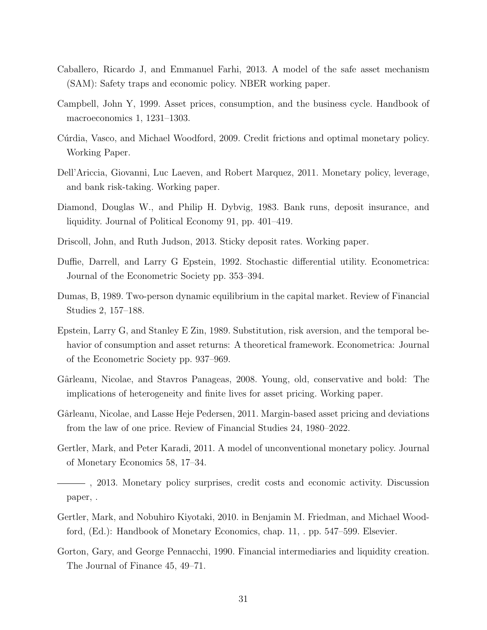- <span id="page-30-9"></span>Caballero, Ricardo J, and Emmanuel Farhi, 2013. A model of the safe asset mechanism (SAM): Safety traps and economic policy. NBER working paper.
- <span id="page-30-13"></span>Campbell, John Y, 1999. Asset prices, consumption, and the business cycle. Handbook of macroeconomics 1, 1231–1303.
- <span id="page-30-4"></span>Cúrdia, Vasco, and Michael Woodford, 2009. Credit frictions and optimal monetary policy. Working Paper.
- <span id="page-30-7"></span>Dell'Ariccia, Giovanni, Luc Laeven, and Robert Marquez, 2011. Monetary policy, leverage, and bank risk-taking. Working paper.
- <span id="page-30-1"></span>Diamond, Douglas W., and Philip H. Dybvig, 1983. Bank runs, deposit insurance, and liquidity. Journal of Political Economy 91, pp. 401–419.
- <span id="page-30-2"></span>Driscoll, John, and Ruth Judson, 2013. Sticky deposit rates. Working paper.
- <span id="page-30-10"></span>Duffie, Darrell, and Larry G Epstein, 1992. Stochastic differential utility. Econometrica: Journal of the Econometric Society pp. 353–394.
- <span id="page-30-5"></span>Dumas, B, 1989. Two-person dynamic equilibrium in the capital market. Review of Financial Studies 2, 157–188.
- <span id="page-30-11"></span>Epstein, Larry G, and Stanley E Zin, 1989. Substitution, risk aversion, and the temporal behavior of consumption and asset returns: A theoretical framework. Econometrica: Journal of the Econometric Society pp. 937–969.
- <span id="page-30-12"></span>Gârleanu, Nicolae, and Stavros Panageas, 2008. Young, old, conservative and bold: The implications of heterogeneity and finite lives for asset pricing. Working paper.
- <span id="page-30-6"></span>Gârleanu, Nicolae, and Lasse Heje Pedersen, 2011. Margin-based asset pricing and deviations from the law of one price. Review of Financial Studies 24, 1980–2022.
- <span id="page-30-8"></span>Gertler, Mark, and Peter Karadi, 2011. A model of unconventional monetary policy. Journal of Monetary Economics 58, 17–34.
- <span id="page-30-0"></span>, 2013. Monetary policy surprises, credit costs and economic activity. Discussion paper, .
- <span id="page-30-3"></span>Gertler, Mark, and Nobuhiro Kiyotaki, 2010. in Benjamin M. Friedman, and Michael Woodford, (Ed.): Handbook of Monetary Economics, chap. 11, . pp. 547–599. Elsevier.
- <span id="page-30-14"></span>Gorton, Gary, and George Pennacchi, 1990. Financial intermediaries and liquidity creation. The Journal of Finance 45, 49–71.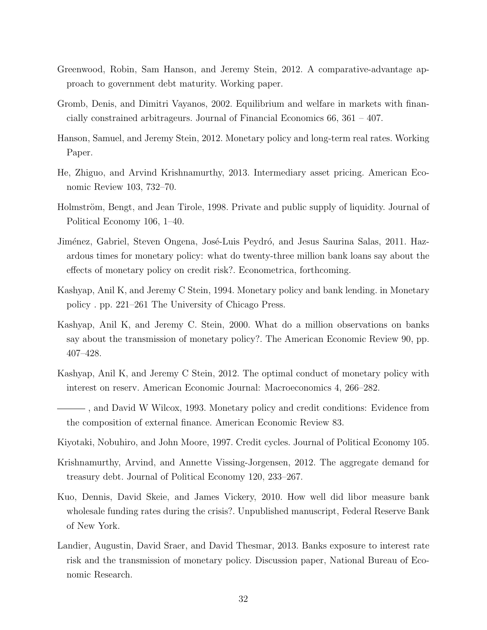- <span id="page-31-6"></span>Greenwood, Robin, Sam Hanson, and Jeremy Stein, 2012. A comparative-advantage approach to government debt maturity. Working paper.
- <span id="page-31-4"></span>Gromb, Denis, and Dimitri Vayanos, 2002. Equilibrium and welfare in markets with financially constrained arbitrageurs. Journal of Financial Economics 66, 361 – 407.
- <span id="page-31-1"></span>Hanson, Samuel, and Jeremy Stein, 2012. Monetary policy and long-term real rates. Working Paper.
- <span id="page-31-3"></span>He, Zhiguo, and Arvind Krishnamurthy, 2013. Intermediary asset pricing. American Economic Review 103, 732–70.
- <span id="page-31-13"></span>Holmström, Bengt, and Jean Tirole, 1998. Private and public supply of liquidity. Journal of Political Economy 106, 1–40.
- <span id="page-31-9"></span>Jiménez, Gabriel, Steven Ongena, José-Luis Peydró, and Jesus Saurina Salas, 2011. Hazardous times for monetary policy: what do twenty-three million bank loans say about the effects of monetary policy on credit risk?. Econometrica, forthcoming.
- <span id="page-31-0"></span>Kashyap, Anil K, and Jeremy C Stein, 1994. Monetary policy and bank lending. in Monetary policy . pp. 221–261 The University of Chicago Press.
- <span id="page-31-8"></span>Kashyap, Anil K, and Jeremy C. Stein, 2000. What do a million observations on banks say about the transmission of monetary policy?. The American Economic Review 90, pp. 407–428.
- <span id="page-31-11"></span>Kashyap, Anil K, and Jeremy C Stein, 2012. The optimal conduct of monetary policy with interest on reserv. American Economic Journal: Macroeconomics 4, 266–282.
- <span id="page-31-7"></span> $\longrightarrow$ , and David W Wilcox, 1993. Monetary policy and credit conditions: Evidence from the composition of external finance. American Economic Review 83.
- <span id="page-31-2"></span>Kiyotaki, Nobuhiro, and John Moore, 1997. Credit cycles. Journal of Political Economy 105.
- <span id="page-31-5"></span>Krishnamurthy, Arvind, and Annette Vissing-Jorgensen, 2012. The aggregate demand for treasury debt. Journal of Political Economy 120, 233–267.
- <span id="page-31-12"></span>Kuo, Dennis, David Skeie, and James Vickery, 2010. How well did libor measure bank wholesale funding rates during the crisis?. Unpublished manuscript, Federal Reserve Bank of New York.
- <span id="page-31-10"></span>Landier, Augustin, David Sraer, and David Thesmar, 2013. Banks exposure to interest rate risk and the transmission of monetary policy. Discussion paper, National Bureau of Economic Research.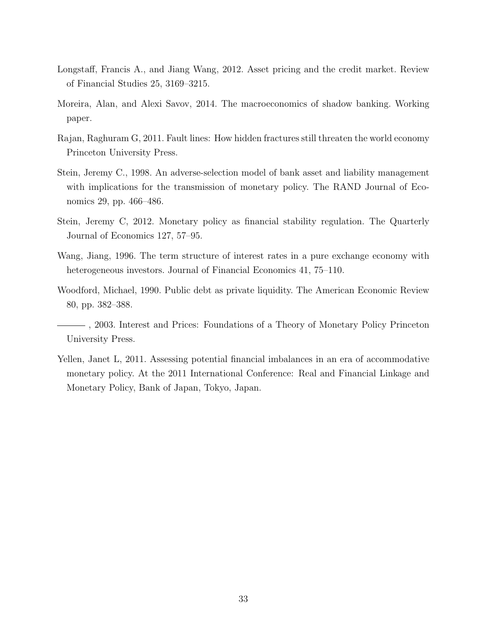- <span id="page-32-5"></span>Longstaff, Francis A., and Jiang Wang, 2012. Asset pricing and the credit market. Review of Financial Studies 25, 3169–3215.
- <span id="page-32-8"></span>Moreira, Alan, and Alexi Savov, 2014. The macroeconomics of shadow banking. Working paper.
- <span id="page-32-2"></span>Rajan, Raghuram G, 2011. Fault lines: How hidden fractures still threaten the world economy Princeton University Press.
- <span id="page-32-6"></span>Stein, Jeremy C., 1998. An adverse-selection model of bank asset and liability management with implications for the transmission of monetary policy. The RAND Journal of Economics 29, pp. 466–486.
- <span id="page-32-1"></span>Stein, Jeremy C, 2012. Monetary policy as financial stability regulation. The Quarterly Journal of Economics 127, 57–95.
- <span id="page-32-4"></span>Wang, Jiang, 1996. The term structure of interest rates in a pure exchange economy with heterogeneous investors. Journal of Financial Economics 41, 75–110.
- <span id="page-32-7"></span>Woodford, Michael, 1990. Public debt as private liquidity. The American Economic Review 80, pp. 382–388.
- <span id="page-32-0"></span>, 2003. Interest and Prices: Foundations of a Theory of Monetary Policy Princeton University Press.
- <span id="page-32-3"></span>Yellen, Janet L, 2011. Assessing potential financial imbalances in an era of accommodative monetary policy. At the 2011 International Conference: Real and Financial Linkage and Monetary Policy, Bank of Japan, Tokyo, Japan.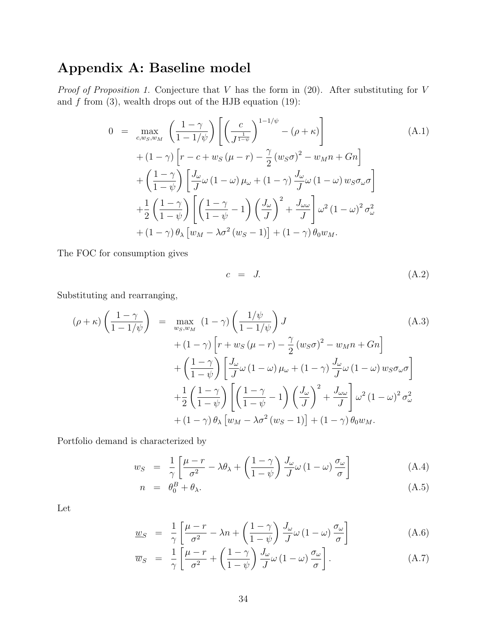# Appendix A: Baseline model

*Proof of Proposition [1.](#page-12-0)* Conjecture that  $V$  has the form in [\(20\)](#page-12-1). After substituting for  $V$ and  $f$  from [\(3\)](#page-7-1), wealth drops out of the HJB equation [\(19\)](#page-12-2):

$$
0 = \max_{c,w_S,w_M} \left( \frac{1-\gamma}{1-1/\psi} \right) \left[ \left( \frac{c}{J^{\frac{1}{1-\psi}}} \right)^{1-1/\psi} - (\rho + \kappa) \right]
$$
  
+  $(1-\gamma) \left[ r - c + w_S (\mu - r) - \frac{\gamma}{2} (w_S \sigma)^2 - w_M n + Gn \right]$   
+  $\left( \frac{1-\gamma}{1-\psi} \right) \left[ \frac{J_\omega}{J} \omega (1-\omega) \mu_\omega + (1-\gamma) \frac{J_\omega}{J} \omega (1-\omega) w_S \sigma_\omega \sigma \right]$   
+  $\frac{1}{2} \left( \frac{1-\gamma}{1-\psi} \right) \left[ \left( \frac{1-\gamma}{1-\psi} - 1 \right) \left( \frac{J_\omega}{J} \right)^2 + \frac{J_\omega \omega}{J} \right] \omega^2 (1-\omega)^2 \sigma_\omega^2$   
+  $(1-\gamma) \theta_\lambda \left[ w_M - \lambda \sigma^2 (w_S - 1) \right] + (1-\gamma) \theta_0 w_M.$  (A.1)

The FOC for consumption gives

<span id="page-33-0"></span>
$$
c = J. \tag{A.2}
$$

Substituting and rearranging,

$$
(\rho + \kappa) \left(\frac{1-\gamma}{1-1/\psi}\right) = \max_{w_S, w_M} (1-\gamma) \left(\frac{1/\psi}{1-1/\psi}\right) J
$$
\n
$$
+ (1-\gamma) \left[r + w_S(\mu - r) - \frac{\gamma}{2} (w_S \sigma)^2 - w_M n + Gn\right] + \left(\frac{1-\gamma}{1-\psi}\right) \left[\frac{J_\omega}{J}\omega (1-\omega)\mu_\omega + (1-\gamma)\frac{J_\omega}{J}\omega (1-\omega) w_S \sigma_\omega \sigma\right] + \frac{1}{2} \left(\frac{1-\gamma}{1-\psi}\right) \left[\left(\frac{1-\gamma}{1-\psi}-1\right) \left(\frac{J_\omega}{J}\right)^2 + \frac{J_\omega}{J}\right] \omega^2 (1-\omega)^2 \sigma_\omega^2 + (1-\gamma) \theta_\lambda \left[w_M - \lambda \sigma^2 (w_S - 1)\right] + (1-\gamma) \theta_0 w_M.
$$
\n(A.3)

Portfolio demand is characterized by

$$
w_S = \frac{1}{\gamma} \left[ \frac{\mu - r}{\sigma^2} - \lambda \theta_\lambda + \left( \frac{1 - \gamma}{1 - \psi} \right) \frac{J_\omega}{J} \omega \left( 1 - \omega \right) \frac{\sigma_\omega}{\sigma} \right]
$$
(A.4)

$$
n = \theta_0^B + \theta_\lambda. \tag{A.5}
$$

Let

$$
\underline{w}_{S} = \frac{1}{\gamma} \left[ \frac{\mu - r}{\sigma^2} - \lambda n + \left( \frac{1 - \gamma}{1 - \psi} \right) \frac{J_{\omega}}{J} \omega \left( 1 - \omega \right) \frac{\sigma_{\omega}}{\sigma} \right]
$$
(A.6)

$$
\overline{w}_S = \frac{1}{\gamma} \left[ \frac{\mu - r}{\sigma^2} + \left( \frac{1 - \gamma}{1 - \psi} \right) \frac{J_\omega}{J} \omega \left( 1 - \omega \right) \frac{\sigma_\omega}{\sigma} \right]. \tag{A.7}
$$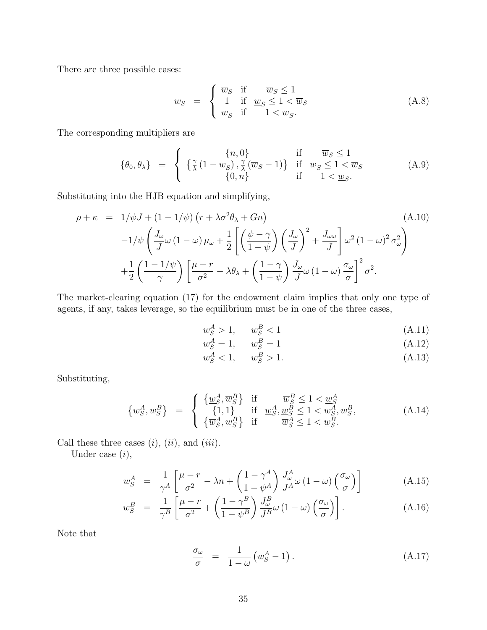There are three possible cases:

$$
w_S = \begin{cases} \overline{w}_S & \text{if } \overline{w}_S \le 1 \\ 1 & \text{if } \underline{w}_S \le 1 < \overline{w}_S \\ \underline{w}_S & \text{if } 1 < \underline{w}_S. \end{cases} \tag{A.8}
$$

The corresponding multipliers are

$$
\{\theta_0, \theta_\lambda\} = \begin{cases} \n\{\frac{\gamma}{\lambda}(1-\underline{w}_S), \frac{\gamma}{\lambda}(\overline{w}_S-1)\} & \text{if } \underline{w}_S \le 1\\ \n\{\frac{\gamma}{\lambda}(1-\underline{w}_S), \frac{\gamma}{\lambda}(\overline{w}_S-1)\} & \text{if } \underline{w}_S \le 1 < \overline{w}_S\\ \n\{0, n\} & \text{if } 1 < \underline{w}_S.\n\end{cases} \tag{A.9}
$$

Substituting into the HJB equation and simplifying,

$$
\rho + \kappa = 1/\psi J + (1 - 1/\psi) \left( r + \lambda \sigma^2 \theta_\lambda + Gn \right) \tag{A.10}
$$
\n
$$
-1/\psi \left( \frac{J_\omega}{J} \omega \left( 1 - \omega \right) \mu_\omega + \frac{1}{2} \left[ \left( \frac{\psi - \gamma}{1 - \psi} \right) \left( \frac{J_\omega}{J} \right)^2 + \frac{J_{\omega \omega}}{J} \right] \omega^2 \left( 1 - \omega \right)^2 \sigma_\omega^2 \right)
$$
\n
$$
+ \frac{1}{2} \left( \frac{1 - 1/\psi}{\gamma} \right) \left[ \frac{\mu - r}{\sigma^2} - \lambda \theta_\lambda + \left( \frac{1 - \gamma}{1 - \psi} \right) \frac{J_\omega}{J} \omega \left( 1 - \omega \right) \frac{\sigma_\omega}{\sigma} \right]^2 \sigma^2.
$$

The market-clearing equation [\(17\)](#page-11-2) for the endowment claim implies that only one type of agents, if any, takes leverage, so the equilibrium must be in one of the three cases,

$$
w_S^A > 1, \qquad w_S^B < 1 \tag{A.11}
$$

$$
w_S^A = 1, \qquad w_S^B = 1 \tag{A.12}
$$

$$
w_S^A < 1, \quad w_S^B > 1. \tag{A.13}
$$

Substituting,

$$
\{w_{S}^{A}, w_{S}^{B}\} = \begin{cases} \{\underline{w}_{S}^{A}, \overline{w}_{S}^{B}\} & \text{if } \overline{w}_{S}^{B} \le 1 < \underline{w}_{S}^{A} \\ \{1, 1\} & \text{if } \underline{w}_{S}^{A}, \underline{w}_{S}^{B} \le 1 < \overline{w}_{S}^{A}, \overline{w}_{S}^{B}, \\ \{\overline{w}_{S}^{A}, \underline{w}_{S}^{B}\} & \text{if } \overline{w}_{S}^{A} \le 1 < \underline{w}_{S}^{B}. \end{cases} (A.14)
$$

Call these three cases  $(i)$ ,  $(ii)$ , and  $(iii)$ .

Under case  $(i)$ ,

$$
w_S^A = \frac{1}{\gamma^A} \left[ \frac{\mu - r}{\sigma^2} - \lambda n + \left( \frac{1 - \gamma^A}{1 - \psi^A} \right) \frac{J_\omega^A}{J^A} \omega \left( 1 - \omega \right) \left( \frac{\sigma_\omega}{\sigma} \right) \right]
$$
(A.15)

<span id="page-34-0"></span>
$$
w_S^B = \frac{1}{\gamma^B} \left[ \frac{\mu - r}{\sigma^2} + \left( \frac{1 - \gamma^B}{1 - \psi^B} \right) \frac{J_\omega^B}{J^B} \omega \left( 1 - \omega \right) \left( \frac{\sigma_\omega}{\sigma} \right) \right]. \tag{A.16}
$$

Note that

$$
\frac{\sigma_{\omega}}{\sigma} = \frac{1}{1 - \omega} \left( w_S^A - 1 \right). \tag{A.17}
$$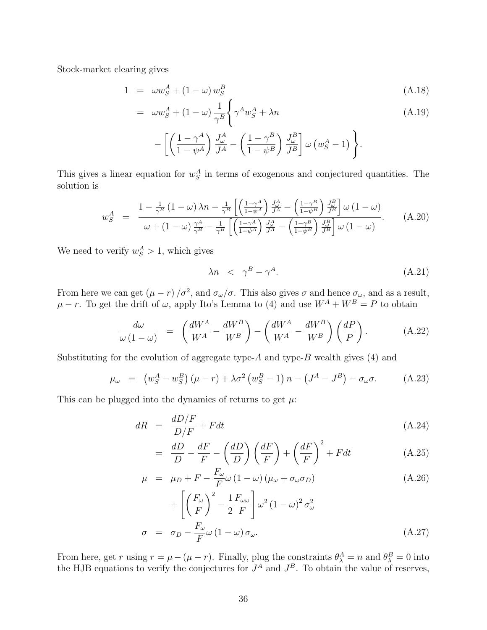Stock-market clearing gives

$$
1 = \omega w_S^A + (1 - \omega) w_S^B \tag{A.18}
$$

$$
= \omega w_S^A + (1 - \omega) \frac{1}{\gamma^B} \left\{ \gamma^A w_S^A + \lambda n
$$
  
 
$$
- \left[ \left( \frac{1 - \gamma^A}{1 - \psi^A} \right) \frac{J_\omega^A}{J^A} - \left( \frac{1 - \gamma^B}{1 - \psi^B} \right) \frac{J_\omega^B}{J^B} \right] \omega \left( w_S^A - 1 \right) \right\}.
$$
 (A.19)

This gives a linear equation for  $w_S^A$  in terms of exogenous and conjectured quantities. The solution is

$$
w_S^A = \frac{1 - \frac{1}{\gamma^B} \left(1 - \omega\right) \lambda n - \frac{1}{\gamma^B} \left[ \left(\frac{1 - \gamma^A}{1 - \psi^A}\right) \frac{J_{\omega}^A}{J^A} - \left(\frac{1 - \gamma^B}{1 - \psi^B}\right) \frac{J_{\omega}^B}{J^B} \right] \omega \left(1 - \omega\right)}{\omega + \left(1 - \omega\right) \frac{\gamma^A}{\gamma^B} - \frac{1}{\gamma^B} \left[ \left(\frac{1 - \gamma^A}{1 - \psi^A}\right) \frac{J_{\omega}^A}{J^A} - \left(\frac{1 - \gamma^B}{1 - \psi^B}\right) \frac{J_{\omega}^B}{J^B} \right] \omega \left(1 - \omega\right)}.
$$
 (A.20)

We need to verify  $w_S^A > 1$ , which gives

<span id="page-35-1"></span>
$$
\lambda n \quad < \quad \gamma^B - \gamma^A. \tag{A.21}
$$

From here we can get  $(\mu - r)/\sigma^2$ , and  $\sigma_\omega/\sigma$ . This also gives  $\sigma$  and hence  $\sigma_\omega$ , and as a result,  $\mu - r$ . To get the drift of  $\omega$ , apply Ito's Lemma to [\(4\)](#page-7-2) and use  $W^A + W^B = P$  to obtain

$$
\frac{d\omega}{\omega \left(1 - \omega\right)} = \left(\frac{dW^A}{W^A} - \frac{dW^B}{W^B}\right) - \left(\frac{dW^A}{W^A} - \frac{dW^B}{W^B}\right)\left(\frac{dP}{P}\right). \tag{A.22}
$$

Substituting for the evolution of aggregate type- $A$  and type- $B$  wealth gives [\(4\)](#page-7-2) and

$$
\mu_{\omega} = \left( w_S^A - w_S^B \right) \left( \mu - r \right) + \lambda \sigma^2 \left( w_S^B - 1 \right) n - \left( J^A - J^B \right) - \sigma_{\omega} \sigma. \tag{A.23}
$$

This can be plugged into the dynamics of returns to get  $\mu$ .

<span id="page-35-0"></span>
$$
dR = \frac{dD/F}{D/F} + Fdt \tag{A.24}
$$

$$
= \frac{dD}{D} - \frac{dF}{F} - \left(\frac{dD}{D}\right)\left(\frac{dF}{F}\right) + \left(\frac{dF}{F}\right)^2 + Fdt \tag{A.25}
$$

$$
\mu = \mu_D + F - \frac{F_{\omega}}{F} \omega (1 - \omega) (\mu_{\omega} + \sigma_{\omega} \sigma_D)
$$
\n(A.26)

$$
+\left[\left(\frac{F_{\omega}}{F}\right)^{2}-\frac{1}{2}\frac{F_{\omega\omega}}{F}\right]\omega^{2}(1-\omega)^{2}\sigma_{\omega}^{2}
$$

$$
\sigma = \sigma_{D}-\frac{F_{\omega}}{F}\omega(1-\omega)\sigma_{\omega}.
$$
(A.27)

From here, get r using  $r = \mu - (\mu - r)$ . Finally, plug the constraints  $\theta_{\lambda}^{A} = n$  and  $\theta_{\lambda}^{B} = 0$  into the HJB equations to verify the conjectures for  $J^A$  and  $J^B$ . To obtain the value of reserves,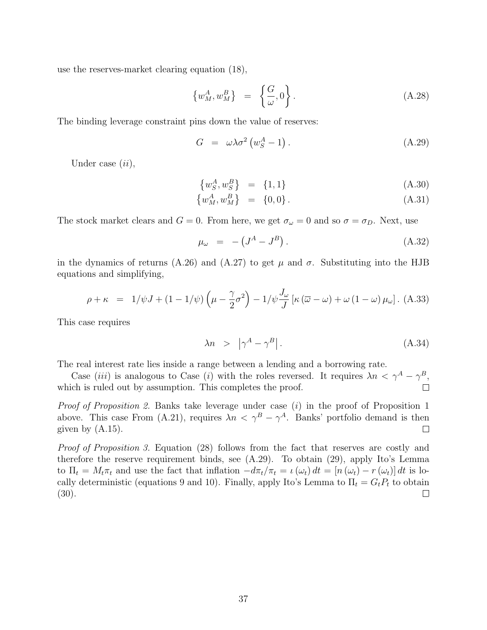use the reserves-market clearing equation [\(18\)](#page-11-2),

$$
\left\{w_M^A, w_M^B\right\} = \left\{\frac{G}{\omega}, 0\right\}.
$$
\n(A.28)

The binding leverage constraint pins down the value of reserves:

<span id="page-36-0"></span>
$$
G = \omega \lambda \sigma^2 \left( w_S^A - 1 \right). \tag{A.29}
$$

Under case  $(ii)$ ,

$$
\{w_S^A, w_S^B\} = \{1, 1\} \tag{A.30}
$$

$$
\{w_M^A, w_M^B\} = \{0, 0\}.
$$
 (A.31)

The stock market clears and  $G = 0$ . From here, we get  $\sigma_{\omega} = 0$  and so  $\sigma = \sigma_D$ . Next, use

$$
\mu_{\omega} = -\left(J^A - J^B\right). \tag{A.32}
$$

in the dynamics of returns [\(A.26\)](#page-35-0) and [\(A.27\)](#page-35-0) to get  $\mu$  and  $\sigma$ . Substituting into the HJB equations and simplifying,

$$
\rho + \kappa = 1/\psi J + (1 - 1/\psi) \left(\mu - \frac{\gamma}{2}\sigma^2\right) - 1/\psi \frac{J_\omega}{J} \left[\kappa \left(\overline{\omega} - \omega\right) + \omega \left(1 - \omega\right) \mu_\omega\right].
$$
 (A.33)

This case requires

$$
\lambda n \quad > \quad \left| \gamma^A - \gamma^B \right| \,. \tag{A.34}
$$

The real interest rate lies inside a range between a lending and a borrowing rate.

Case (iii) is analogous to Case (i) with the roles reversed. It requires  $\lambda n < \gamma^A - \gamma^B$ , which is ruled out by assumption. This completes the proof.  $\Box$ 

Proof of Proposition [2.](#page-13-0) Banks take leverage under case (i) in the proof of Proposition [1](#page-12-0) above. This case From [\(A.21\)](#page-35-1), requires  $\lambda n < \gamma^{B} - \gamma^{A}$ . Banks' portfolio demand is then given by  $(A.15)$ .  $\Box$ 

Proof of Proposition [3.](#page-16-0) Equation [\(28\)](#page-16-2) follows from the fact that reserves are costly and therefore the reserve requirement binds, see [\(A.29\)](#page-36-0). To obtain [\(29\)](#page-16-1), apply Ito's Lemma to  $\Pi_t = M_t \pi_t$  and use the fact that inflation  $-d\pi_t/\pi_t = \iota(\omega_t) dt = [\eta(\omega_t) - r(\omega_t)] dt$  is lo-cally deterministic (equations [9](#page-9-2) and [10\)](#page-9-3). Finally, apply Ito's Lemma to  $\Pi_t = G_t P_t$  to obtain [\(30\)](#page-16-1).  $\Box$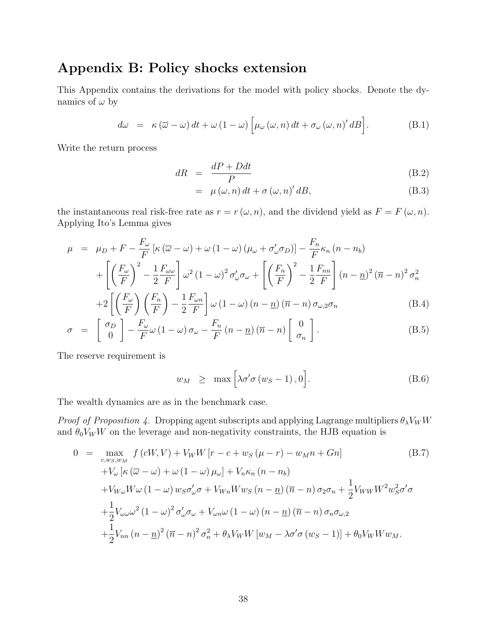### Appendix B: Policy shocks extension

This Appendix contains the derivations for the model with policy shocks. Denote the dynamics of  $\omega$  by

$$
d\omega = \kappa (\overline{\omega} - \omega) dt + \omega (1 - \omega) \left[ \mu_{\omega} (\omega, n) dt + \sigma_{\omega} (\omega, n)' dB \right].
$$
 (B.1)

Write the return process

$$
dR = \frac{dP + Ddt}{P} \tag{B.2}
$$

$$
= \mu(\omega, n) dt + \sigma(\omega, n)' dB,
$$
\n(B.3)

the instantaneous real risk-free rate as  $r = r(\omega, n)$ , and the dividend yield as  $F = F(\omega, n)$ . Applying Ito's Lemma gives

$$
\mu = \mu_D + F - \frac{F_{\omega}}{F} \left[ \kappa \left( \overline{\omega} - \omega \right) + \omega \left( 1 - \omega \right) \left( \mu_{\omega} + \sigma'_{\omega} \sigma_D \right) \right] - \frac{F_n}{F} \kappa_n \left( n - n_b \right)
$$

$$
+ \left[ \left( \frac{F_{\omega}}{F} \right)^2 - \frac{1}{2} \frac{F_{\omega \omega}}{F} \right] \omega^2 \left( 1 - \omega \right)^2 \sigma'_{\omega} \sigma_{\omega} + \left[ \left( \frac{F_n}{F} \right)^2 - \frac{1}{2} \frac{F_{nn}}{F} \right] \left( n - n \right)^2 \left( \overline{n} - n \right)^2 \sigma_n^2
$$

$$
+ \left[ \left( \frac{F_{\omega}}{F} \right) \left( F_n \right) - \frac{1}{2} \frac{F_{\omega n}}{F} \right] \omega^2 \left( 1 - \omega \right) \left( \sigma_n - n \right) \left( \overline{\sigma} - n \right) \sigma_n \tag{B.4}
$$

$$
+2\left[\left(\frac{F_{\omega}}{F}\right)\left(\frac{F_{n}}{F}\right)-\frac{1}{2}\frac{F_{\omega n}}{F}\right]\omega\left(1-\omega\right)\left(n-\underline{n}\right)\left(\overline{n}-n\right)\sigma_{\omega,2}\sigma_{n}\tag{B.4}
$$

$$
\sigma = \begin{bmatrix} \sigma_D \\ 0 \end{bmatrix} - \frac{F_{\omega}}{F} \omega (1 - \omega) \sigma_{\omega} - \frac{F_n}{F} (n - \underline{n}) (\overline{n} - n) \begin{bmatrix} 0 \\ \sigma_n \end{bmatrix}.
$$
 (B.5)

The reserve requirement is

$$
w_M \geq \max \left[ \lambda \sigma' \sigma \left( w_S - 1 \right), 0 \right]. \tag{B.6}
$$

The wealth dynamics are as in the benchmark case.

*Proof of Proposition [4.](#page-26-1)* Dropping agent subscripts and applying Lagrange multipliers  $\theta_{\lambda}V_{W}W$ and  $\theta_0 V_W W$  on the leverage and non-negativity constraints, the HJB equation is

$$
0 = \max_{c,w_S,w_M} f(cW,V) + V_W W [r - c + w_S(\mu - r) - w_M n + Gn]
$$
(B.7)  
+
$$
V_{\omega} [\kappa (\overline{\omega} - \omega) + \omega (1 - \omega) \mu_{\omega}] + V_n \kappa_n (n - n_b)
$$
  
+
$$
V_{W\omega} W \omega (1 - \omega) w_S \sigma'_{\omega} \sigma + V_{Wn} W w_S (n - \underline{n}) (\overline{n} - n) \sigma_2 \sigma_n + \frac{1}{2} V_{WW} W^2 w_S^2 \sigma' \sigma
$$
  
+
$$
\frac{1}{2} V_{\omega \omega} \omega^2 (1 - \omega)^2 \sigma'_{\omega} \sigma_{\omega} + V_{\omega n} \omega (1 - \omega) (n - \underline{n}) (\overline{n} - n) \sigma_n \sigma_{\omega,2}
$$
  
+
$$
\frac{1}{2} V_{nn} (n - \underline{n})^2 (\overline{n} - n)^2 \sigma_n^2 + \theta_{\lambda} V_W W [w_M - \lambda \sigma' \sigma (w_S - 1)] + \theta_0 V_W W w_M.
$$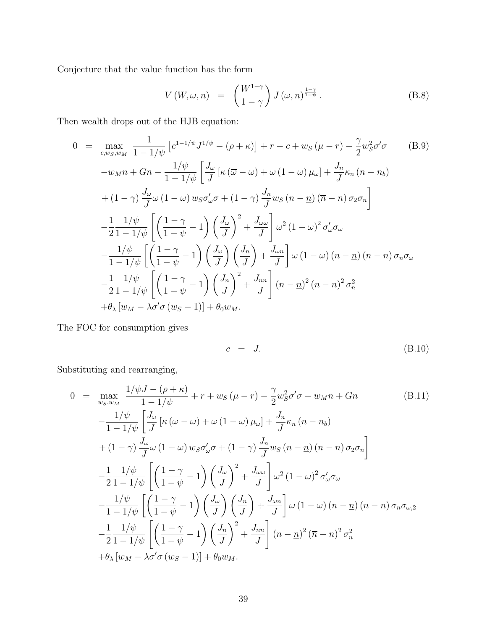Conjecture that the value function has the form

$$
V(W, \omega, n) = \left(\frac{W^{1-\gamma}}{1-\gamma}\right) J(\omega, n)^{\frac{1-\gamma}{1-\psi}}.
$$
 (B.8)

Then wealth drops out of the HJB equation:

$$
0 = \max_{c,w_S,w_M} \frac{1}{1-1/\psi} \left[ c^{1-1/\psi} J^{1/\psi} - (\rho + \kappa) \right] + r - c + w_S (\mu - r) - \frac{\gamma}{2} w_S^2 \sigma^2 \sigma \qquad (B.9)
$$
  
\n
$$
-w_M n + Gn - \frac{1/\psi}{1-1/\psi} \left[ \frac{J_\omega}{J} \left[ \kappa (\overline{\omega} - \omega) + \omega (1 - \omega) \mu_\omega \right] + \frac{J_n}{J} \kappa_n (n - n_b) \right]
$$
  
\n
$$
+ (1 - \gamma) \frac{J_\omega}{J} \omega (1 - \omega) w_S \sigma^{\prime}_{\omega} \sigma + (1 - \gamma) \frac{J_n}{J} w_S (n - \underline{n}) (\overline{n} - n) \sigma_2 \sigma_n \right]
$$
  
\n
$$
- \frac{1}{2} \frac{1/\psi}{1-1/\psi} \left[ \left( \frac{1-\gamma}{1-\psi} - 1 \right) \left( \frac{J_\omega}{J} \right)^2 + \frac{J_{\omega\omega}}{J} \right] \omega^2 (1 - \omega)^2 \sigma^{\prime}_{\omega} \sigma_\omega
$$
  
\n
$$
- \frac{1/\psi}{1-1/\psi} \left[ \left( \frac{1-\gamma}{1-\psi} - 1 \right) \left( \frac{J_\omega}{J} \right) \left( \frac{J_n}{J} \right) + \frac{J_{\omega n}}{J} \right] \omega (1 - \omega) (n - \underline{n}) (\overline{n} - n) \sigma_n \sigma_\omega
$$
  
\n
$$
- \frac{1}{2} \frac{1/\psi}{1-1/\psi} \left[ \left( \frac{1-\gamma}{1-\psi} - 1 \right) \left( \frac{J_n}{J} \right)^2 + \frac{J_{nn}}{J} \right] (n - \underline{n})^2 (\overline{n} - n)^2 \sigma_n^2
$$
  
\n
$$
+ \theta_\lambda [w_M - \lambda \sigma^{\prime} \sigma (w_S - 1)] + \theta_0 w_M.
$$
 (B.9)

The FOC for consumption gives

$$
c = J. \tag{B.10}
$$

Substituting and rearranging,

$$
0 = \max_{w_S, w_M} \frac{1/\psi J - (\rho + \kappa)}{1 - 1/\psi} + r + w_S (\mu - r) - \frac{\gamma}{2} w_S^2 \sigma' \sigma - w_M n + Gn
$$
(B.11)  
\n
$$
-\frac{1/\psi}{1 - 1/\psi} \left[ \frac{J_\omega}{J} \left[ \kappa (\overline{\omega} - \omega) + \omega (1 - \omega) \mu_\omega \right] + \frac{J_n}{J} \kappa_n (n - n_b) + (1 - \gamma) \frac{J_\omega}{J} \omega (1 - \omega) w_S \sigma'_\omega \sigma + (1 - \gamma) \frac{J_n}{J} w_S (n - \underline{n}) (\overline{n} - n) \sigma_2 \sigma_n \right]
$$
  
\n
$$
-\frac{1}{2} \frac{1/\psi}{1 - 1/\psi} \left[ \left( \frac{1 - \gamma}{1 - \psi} - 1 \right) \left( \frac{J_\omega}{J} \right)^2 + \frac{J_\omega}{J} \right] \omega^2 (1 - \omega)^2 \sigma'_\omega \sigma_\omega
$$
  
\n
$$
-\frac{1/\psi}{1 - 1/\psi} \left[ \left( \frac{1 - \gamma}{1 - \psi} - 1 \right) \left( \frac{J_\omega}{J} \right) \left( \frac{J_n}{J} \right) + \frac{J_\omega n}{J} \right] \omega (1 - \omega) (n - \underline{n}) (\overline{n} - n) \sigma_n \sigma_{\omega, 2}
$$
  
\n
$$
-\frac{1}{2} \frac{1/\psi}{1 - 1/\psi} \left[ \left( \frac{1 - \gamma}{1 - \psi} - 1 \right) \left( \frac{J_n}{J} \right)^2 + \frac{J_{nn}}{J} \right] (n - \underline{n})^2 (\overline{n} - n)^2 \sigma_n^2
$$
  
\n
$$
+ \theta_\lambda [w_M - \lambda \sigma' \sigma (w_S - 1)] + \theta_0 w_M.
$$
(B.11)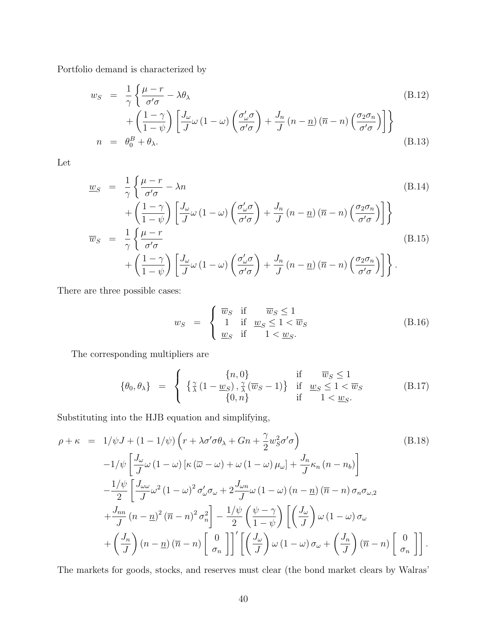Portfolio demand is characterized by

$$
w_S = \frac{1}{\gamma} \left\{ \frac{\mu - r}{\sigma' \sigma} - \lambda \theta_{\lambda} \right\}
$$
  
+ 
$$
\left( \frac{1 - \gamma}{1 - \psi} \right) \left[ \frac{J_{\omega}}{J} \omega \left( 1 - \omega \right) \left( \frac{\sigma'_{\omega} \sigma}{\sigma' \sigma} \right) + \frac{J_n}{J} \left( n - \underline{n} \right) \left( \overline{n} - n \right) \left( \frac{\sigma_2 \sigma_n}{\sigma' \sigma} \right) \right]
$$
  

$$
n = \theta_0^B + \theta_{\lambda}.
$$
 (B.13)

Let

$$
\underline{w}_{S} = \frac{1}{\gamma} \left\{ \frac{\mu - r}{\sigma' \sigma} - \lambda n \right\}
$$
\n
$$
+ \left( \frac{1 - \gamma}{1 - \psi} \right) \left[ \frac{J_{\omega}}{J} \omega \left( 1 - \omega \right) \left( \frac{\sigma'_{\omega} \sigma}{\sigma' \sigma} \right) + \frac{J_{n}}{J} \left( n - \underline{n} \right) \left( \overline{n} - n \right) \left( \frac{\sigma_{2} \sigma_{n}}{\sigma' \sigma} \right) \right] \right\}
$$
\n
$$
\overline{w}_{S} = \frac{1}{\gamma} \left\{ \frac{\mu - r}{\sigma' \sigma} \right\}
$$
\n
$$
+ \left( \frac{1 - \gamma}{1 - \psi} \right) \left[ \frac{J_{\omega}}{J} \omega \left( 1 - \omega \right) \left( \frac{\sigma'_{\omega} \sigma}{\sigma' \sigma} \right) + \frac{J_{n}}{J} \left( n - \underline{n} \right) \left( \overline{n} - n \right) \left( \frac{\sigma_{2} \sigma_{n}}{\sigma' \sigma} \right) \right] \right\}.
$$
\n(B.15)

There are three possible cases:

$$
w_S = \begin{cases} \overline{w}_S & \text{if } \overline{w}_S \le 1 \\ 1 & \text{if } \underline{w}_S \le 1 < \overline{w}_S \\ \underline{w}_S & \text{if } 1 < \underline{w}_S. \end{cases} \tag{B.16}
$$

The corresponding multipliers are

$$
\{\theta_0, \theta_\lambda\} = \begin{cases} \n\{\frac{\gamma}{\lambda}(1 - \underline{w}_S), \frac{\gamma}{\lambda}(\overline{w}_S - 1)\} & \text{if } \underline{w}_S \le 1 < \overline{w}_S \\
\{0, n\} & \text{if } \underline{w}_S \le 1 < \overline{w}_S\n\end{cases}
$$
\n(B.17)

Substituting into the HJB equation and simplifying,

$$
\rho + \kappa = 1/\psi J + (1 - 1/\psi) \left( r + \lambda \sigma' \sigma \theta_{\lambda} + Gn + \frac{\gamma}{2} w_{S}^{2} \sigma' \sigma \right)
$$
\n(B.18)  
\n
$$
-1/\psi \left[ \frac{J_{\omega}}{J} \omega (1 - \omega) \left[ \kappa (\overline{\omega} - \omega) + \omega (1 - \omega) \mu_{\omega} \right] + \frac{J_{n}}{J} \kappa_{n} (n - n_{b}) \right]
$$
\n
$$
- \frac{1/\psi}{2} \left[ \frac{J_{\omega\omega}}{J} \omega^{2} (1 - \omega)^{2} \sigma'_{\omega} \sigma_{\omega} + 2 \frac{J_{\omega n}}{J} \omega (1 - \omega) (n - \underline{n}) (\overline{n} - n) \sigma_{n} \sigma_{\omega, 2} + \frac{J_{nn}}{J} (n - \underline{n})^{2} (\overline{n} - n)^{2} \sigma_{n}^{2} \right] - \frac{1/\psi}{2} \left( \frac{\psi - \gamma}{1 - \psi} \right) \left[ \left( \frac{J_{\omega}}{J} \right) \omega (1 - \omega) \sigma_{\omega} + \left( \frac{J_{n}}{J} \right) (n - \underline{n}) (\overline{n} - n) \left[ \frac{0}{\sigma_{n}} \right] \right]' \left[ \left( \frac{J_{\omega}}{J} \right) \omega (1 - \omega) \sigma_{\omega} + \left( \frac{J_{n}}{J} \right) (\overline{n} - n) \left[ \frac{0}{\sigma_{n}} \right] \right].
$$
\n(B.18)

The markets for goods, stocks, and reserves must clear (the bond market clears by Walras'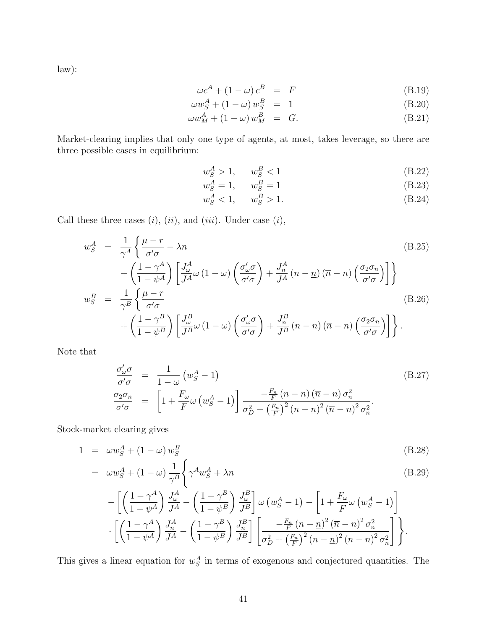law):

$$
\omega c^A + (1 - \omega) c^B = F \tag{B.19}
$$

$$
\omega w_S^A + (1 - \omega) w_S^B = 1 \tag{B.20}
$$

$$
\omega w_M^A + (1 - \omega) w_M^B = G. \tag{B.21}
$$

Market-clearing implies that only one type of agents, at most, takes leverage, so there are three possible cases in equilibrium:

$$
w_S^A > 1, \qquad w_S^B < 1 \tag{B.22}
$$

$$
w_S^A = 1, \qquad w_S^B = 1 \tag{B.23}
$$

$$
w_S^A < 1, \t w_S^B > 1.
$$
\n(B.24)

Call these three cases  $(i)$ ,  $(ii)$ , and  $(iii)$ . Under case  $(i)$ ,

$$
w_S^A = \frac{1}{\gamma^A} \left\{ \frac{\mu - r}{\sigma' \sigma} - \lambda n \right\}
$$
\n
$$
+ \left( \frac{1 - \gamma^A}{1 - \psi^A} \right) \left[ \frac{J_\omega^A}{J^A} \omega \left( 1 - \omega \right) \left( \frac{\sigma'_\omega \sigma}{\sigma' \sigma} \right) + \frac{J_n^A}{J^A} \left( n - \underline{n} \right) \left( \overline{n} - n \right) \left( \frac{\sigma_2 \sigma_n}{\sigma' \sigma} \right) \right] \right\}
$$
\n
$$
w_S^B = \frac{1}{\gamma^B} \left\{ \frac{\mu - r}{\sigma' \sigma} \right\}
$$
\n
$$
+ \left( \frac{1 - \gamma^B}{1 - \psi^B} \right) \left[ \frac{J_\omega^B}{J^B} \omega \left( 1 - \omega \right) \left( \frac{\sigma'_\omega \sigma}{\sigma' \sigma} \right) + \frac{J_n^B}{J^B} \left( n - \underline{n} \right) \left( \overline{n} - n \right) \left( \frac{\sigma_2 \sigma_n}{\sigma' \sigma} \right) \right] \right\}.
$$
\n(B.26)

Note that

$$
\frac{\sigma'_{\omega}\sigma}{\sigma'\sigma} = \frac{1}{1-\omega} (w_S^A - 1)
$$
\n
$$
\frac{\sigma_2\sigma_n}{\sigma'\sigma} = \left[1 + \frac{F_{\omega}}{F} \omega (w_S^A - 1)\right] \frac{-\frac{F_n}{F} (n - \underline{n}) (\overline{n} - n) \sigma_n^2}{\sigma_D^2 + \left(\frac{F_n}{F}\right)^2 (n - \underline{n})^2 (\overline{n} - n)^2 \sigma_n^2}.
$$
\n(B.27)

Stock-market clearing gives

$$
1 = \omega w_S^A + (1 - \omega) w_S^B \tag{B.28}
$$

$$
= \omega w_S^A + (1 - \omega) \frac{1}{\gamma^B} \left\{ \gamma^A w_S^A + \lambda n \right\} \tag{B.29}
$$

$$
-\left[\left(\frac{1-\gamma^A}{1-\psi^A}\right)\frac{J_{\omega}^A}{J^A} - \left(\frac{1-\gamma^B}{1-\psi^B}\right)\frac{J_{\omega}^B}{J^B}\right]\omega\left(w_S^A - 1\right) - \left[1 + \frac{F_{\omega}}{F}\omega\left(w_S^A - 1\right)\right] \cdot \left[\left(\frac{1-\gamma^A}{1-\psi^A}\right)\frac{J_{n}^A}{J^A} - \left(\frac{1-\gamma^B}{1-\psi^B}\right)\frac{J_{n}^B}{J^B}\right] \left[\frac{-\frac{F_{n}}{F}\left(n - \underline{n}\right)^2(\overline{n} - n)^2\sigma_n^2}{\sigma_D^2 + \left(\frac{F_{n}}{F}\right)^2\left(n - \underline{n}\right)^2(\overline{n} - n)^2\sigma_n^2}\right]\right\}.
$$

This gives a linear equation for  $w_S^A$  in terms of exogenous and conjectured quantities. The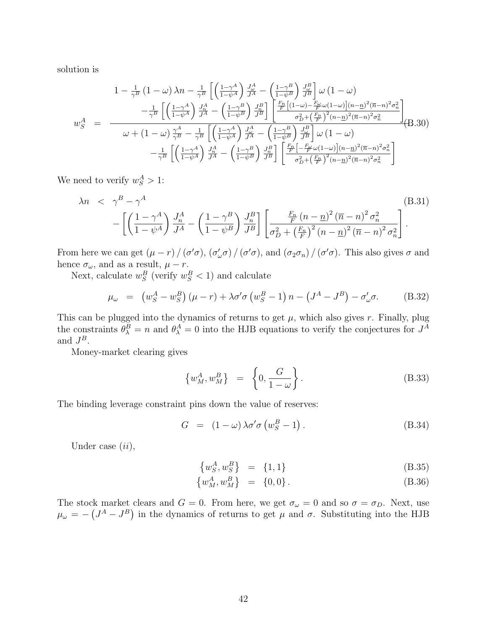solution is

$$
1 - \frac{1}{\gamma^B} \left(1 - \omega\right) \lambda n - \frac{1}{\gamma^B} \left[ \left(\frac{1 - \gamma^A}{1 - \psi^A}\right) \frac{J_{\omega}^A}{J^A} - \left(\frac{1 - \gamma^B}{1 - \psi^B}\right) \frac{J_{\omega}^B}{J^B} \right] \omega \left(1 - \omega\right)
$$
  
\n
$$
- \frac{1}{\gamma^B} \left[ \left(\frac{1 - \gamma^A}{1 - \psi^A}\right) \frac{J_{\omega}^A}{J^A} - \left(\frac{1 - \gamma^B}{1 - \psi^B}\right) \frac{J_{\omega}^B}{J^B} \right] \left[ \frac{\frac{F_n}{F} \left[ (1 - \omega) - \frac{F_{\omega}}{F} \omega (1 - \omega) \right] (n - n)^2 (\overline{n} - n)^2 \sigma_n^2}{\sigma_D^2 + \left(\frac{F_n}{F}\right)^2 (n - n)^2 (\overline{n} - n)^2 \sigma_n^2} \right]
$$
  
\n
$$
\omega + (1 - \omega) \frac{\gamma^A}{\gamma^B} - \frac{1}{\gamma^B} \left[ \left(\frac{1 - \gamma^A}{1 - \psi^A}\right) \frac{J_{\omega}^A}{J^A} - \left(\frac{1 - \gamma^B}{1 - \psi^B}\right) \frac{J_{\omega}^B}{J^B} \right] \omega \left(1 - \omega\right)
$$
  
\n
$$
- \frac{1}{\gamma^B} \left[ \left(\frac{1 - \gamma^A}{1 - \psi^A}\right) \frac{J_{\omega}^A}{J^A} - \left(\frac{1 - \gamma^B}{1 - \psi^B}\right) \frac{J_{\omega}^B}{J^B} \right] \left[ \frac{\frac{F_n}{F} \left[ -\frac{F_{\omega}}{F} \omega (1 - \omega) \right] (n - n)^2 (\overline{n} - n)^2 \sigma_n^2}{\sigma_D^2 + \left(\frac{F_n}{F}\right)^2 (n - n)^2 \sigma_n^2} \right]
$$
(B.30)

We need to verify  $w_S^A > 1$ :

$$
\lambda n \quad < \quad \gamma^B - \gamma^A \tag{B.31}
$$
\n
$$
- \left[ \left( \frac{1 - \gamma^A}{1 - \psi^A} \right) \frac{J_n^A}{J^A} - \left( \frac{1 - \gamma^B}{1 - \psi^B} \right) \frac{J_n^B}{J^B} \right] \left[ \frac{\frac{F_n}{F} \left( n - \underline{n} \right)^2 (\overline{n} - n)^2 \sigma_n^2}{\sigma_D^2 + \left( \frac{F_n}{F} \right)^2 \left( n - \underline{n} \right)^2 (\overline{n} - n)^2 \sigma_n^2} \right].
$$
\n(B.31)

From here we can get  $(\mu - r) / (\sigma' \sigma)$ ,  $(\sigma'_{\omega} \sigma) / (\sigma' \sigma)$ , and  $(\sigma_2 \sigma_n) / (\sigma' \sigma)$ . This also gives  $\sigma$  and hence  $\sigma_{\omega}$ , and as a result,  $\mu - r$ .

Next, calculate  $w_S^B$  (verify  $w_S^B < 1$ ) and calculate

$$
\mu_{\omega} = \left( w_S^A - w_S^B \right) \left( \mu - r \right) + \lambda \sigma' \sigma \left( w_S^B - 1 \right) n - \left( J^A - J^B \right) - \sigma'_{\omega} \sigma. \tag{B.32}
$$

This can be plugged into the dynamics of returns to get  $\mu$ , which also gives r. Finally, plug the constraints  $\theta_{\lambda}^{B} = n$  and  $\theta_{\lambda}^{A} = 0$  into the HJB equations to verify the conjectures for  $J^{A}$ and  $J^B$ .

Money-market clearing gives

$$
\left\{w_M^A, w_M^B\right\} = \left\{0, \frac{G}{1-\omega}\right\}.
$$
\n(B.33)

The binding leverage constraint pins down the value of reserves:

$$
G = (1 - \omega) \lambda \sigma' \sigma (w_S^B - 1). \tag{B.34}
$$

Under case  $(ii)$ ,

$$
\{w_S^A, w_S^B\} = \{1, 1\} \tag{B.35}
$$

$$
\{w_M^A, w_M^B\} = \{0, 0\}.
$$
 (B.36)

The stock market clears and  $G = 0$ . From here, we get  $\sigma_{\omega} = 0$  and so  $\sigma = \sigma_D$ . Next, use  $\mu_{\omega} = -\left(J^{A} - J^{B}\right)$  in the dynamics of returns to get  $\mu$  and  $\sigma$ . Substituting into the HJB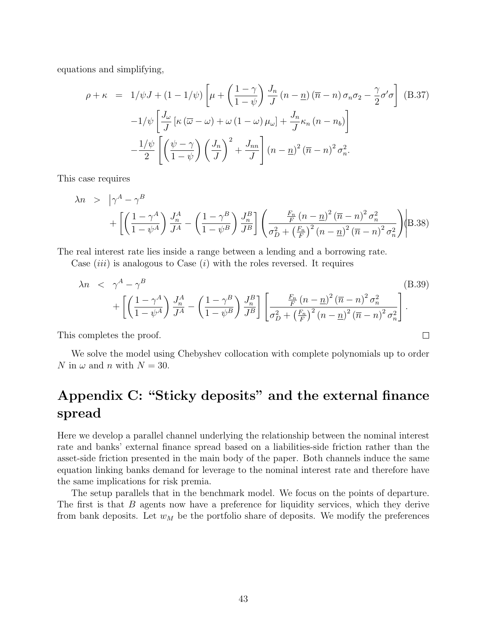equations and simplifying,

$$
\rho + \kappa = 1/\psi J + (1 - 1/\psi) \left[ \mu + \left( \frac{1 - \gamma}{1 - \psi} \right) \frac{J_n}{J} (n - \underline{n}) (\overline{n} - n) \sigma_n \sigma_2 - \frac{\gamma}{2} \sigma' \sigma \right] \quad (B.37)
$$

$$
-1/\psi \left[ \frac{J_\omega}{J} \left[ \kappa (\overline{\omega} - \omega) + \omega (1 - \omega) \mu_\omega \right] + \frac{J_n}{J} \kappa_n (n - n_b) \right]
$$

$$
- \frac{1/\psi}{2} \left[ \left( \frac{\psi - \gamma}{1 - \psi} \right) \left( \frac{J_n}{J} \right)^2 + \frac{J_{nn}}{J} \right] (n - \underline{n})^2 (\overline{n} - n)^2 \sigma_n^2.
$$

This case requires

$$
\lambda n > |\gamma^A - \gamma^B|
$$
  
+ 
$$
\left[ \left( \frac{1 - \gamma^A}{1 - \psi^A} \right) \frac{J_n^A}{J^A} - \left( \frac{1 - \gamma^B}{1 - \psi^B} \right) \frac{J_n^B}{J^B} \right] \left( \frac{\frac{F_n}{F} (n - \underline{n})^2 (\overline{n} - n)^2 \sigma_n^2}{\sigma_D^2 + \left( \frac{F_n}{F} \right)^2 (n - \underline{n})^2 (\overline{n} - n)^2 \sigma_n^2} \right) \middle| B.38 \right)
$$

The real interest rate lies inside a range between a lending and a borrowing rate.

Case  $(iii)$  is analogous to Case  $(i)$  with the roles reversed. It requires

$$
\lambda n \quad < \quad \gamma^A - \gamma^B \tag{B.39}
$$
\n
$$
+ \left[ \left( \frac{1 - \gamma^A}{1 - \psi^A} \right) \frac{J_n^A}{J^A} - \left( \frac{1 - \gamma^B}{1 - \psi^B} \right) \frac{J_n^B}{J^B} \right] \left[ \frac{\frac{F_n}{F} (n - \underline{n})^2 (\overline{n} - n)^2 \sigma_n^2}{\sigma_D^2 + \left( \frac{F_n}{F} \right)^2 (n - \underline{n})^2 (\overline{n} - n)^2 \sigma_n^2} \right].
$$

 $\Box$ 

This completes the proof.

We solve the model using Chebyshev collocation with complete polynomials up to order N in  $\omega$  and n with  $N = 30$ .

# Appendix C: "Sticky deposits" and the external finance spread

Here we develop a parallel channel underlying the relationship between the nominal interest rate and banks' external finance spread based on a liabilities-side friction rather than the asset-side friction presented in the main body of the paper. Both channels induce the same equation linking banks demand for leverage to the nominal interest rate and therefore have the same implications for risk premia.

The setup parallels that in the benchmark model. We focus on the points of departure. The first is that B agents now have a preference for liquidity services, which they derive from bank deposits. Let  $w_M$  be the portfolio share of deposits. We modify the preferences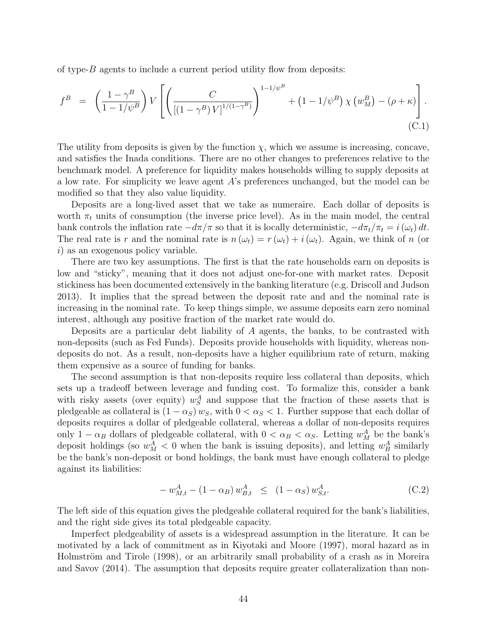of type-B agents to include a current period utility flow from deposits:

$$
f^{B} = \left(\frac{1-\gamma^{B}}{1-1/\psi^{B}}\right)V\left[\left(\frac{C}{[(1-\gamma^{B})V]^{1/(1-\gamma^{B})}}\right)^{1-1/\psi^{B}} + (1-1/\psi^{B})\chi(w_{M}^{B}) - (\rho+\kappa)\right].
$$
\n(C.1)

The utility from deposits is given by the function  $\chi$ , which we assume is increasing, concave, and satisfies the Inada conditions. There are no other changes to preferences relative to the benchmark model. A preference for liquidity makes households willing to supply deposits at a low rate. For simplicity we leave agent A's preferences unchanged, but the model can be modified so that they also value liquidity.

Deposits are a long-lived asset that we take as numeraire. Each dollar of deposits is worth  $\pi_t$  units of consumption (the inverse price level). As in the main model, the central bank controls the inflation rate  $-d\pi/\pi$  so that it is locally deterministic,  $-d\pi_t/\pi_t = i(\omega_t) dt$ . The real rate is r and the nominal rate is  $n(\omega_t) = r(\omega_t) + i(\omega_t)$ . Again, we think of n (or i) as an exogenous policy variable.

There are two key assumptions. The first is that the rate households earn on deposits is low and "sticky", meaning that it does not adjust one-for-one with market rates. Deposit stickiness has been documented extensively in the banking literature (e.g. [Driscoll and Judson](#page-30-2) [2013\)](#page-30-2). It implies that the spread between the deposit rate and and the nominal rate is increasing in the nominal rate. To keep things simple, we assume deposits earn zero nominal interest, although any positive fraction of the market rate would do.

Deposits are a particular debt liability of  $A$  agents, the banks, to be contrasted with non-deposits (such as Fed Funds). Deposits provide households with liquidity, whereas nondeposits do not. As a result, non-deposits have a higher equilibrium rate of return, making them expensive as a source of funding for banks.

The second assumption is that non-deposits require less collateral than deposits, which sets up a tradeoff between leverage and funding cost. To formalize this, consider a bank with risky assets (over equity)  $w_S^A$  and suppose that the fraction of these assets that is pledgeable as collateral is  $(1 - \alpha_S) w_S$ , with  $0 < \alpha_S < 1$ . Further suppose that each dollar of deposits requires a dollar of pledgeable collateral, whereas a dollar of non-deposits requires only  $1 - \alpha_B$  dollars of pledgeable collateral, with  $0 < \alpha_B < \alpha_S$ . Letting  $w_M^A$  be the bank's deposit holdings (so  $w_M^A < 0$  when the bank is issuing deposits), and letting  $w_B^A$  similarly be the bank's non-deposit or bond holdings, the bank must have enough collateral to pledge against its liabilities:

$$
- w_{M,t}^A - (1 - \alpha_B) w_{B,t}^A \le (1 - \alpha_S) w_{S,t}^A.
$$
 (C.2)

The left side of this equation gives the pledgeable collateral required for the bank's liabilities, and the right side gives its total pledgeable capacity.

Imperfect pledgeability of assets is a widespread assumption in the literature. It can be motivated by a lack of commitment as in [Kiyotaki and Moore](#page-31-2) [\(1997\)](#page-31-2), moral hazard as in Holmström and Tirole [\(1998\)](#page-31-13), or an arbitrarily small probability of a crash as in [Moreira](#page-32-8) [and Savov](#page-32-8) [\(2014\)](#page-32-8). The assumption that deposits require greater collateralization than non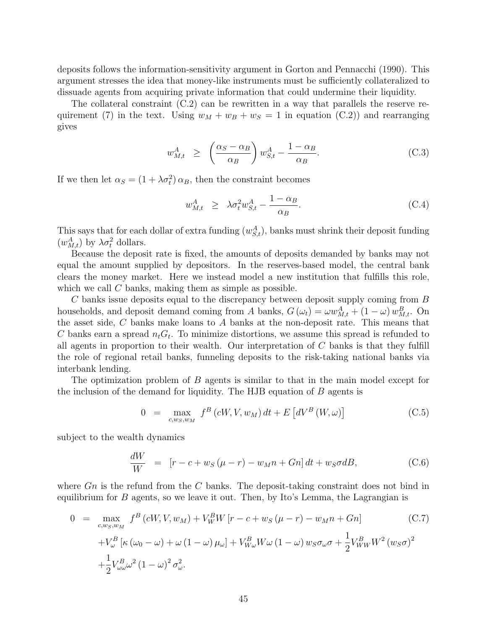deposits follows the information-sensitivity argument in [Gorton and Pennacchi](#page-30-14) [\(1990\)](#page-30-14). This argument stresses the idea that money-like instruments must be sufficiently collateralized to dissuade agents from acquiring private information that could undermine their liquidity.

The collateral constraint [\(C.2\)](#page-33-0) can be rewritten in a way that parallels the reserve re-quirement [\(7\)](#page-8-2) in the text. Using  $w_M + w_B + w_S = 1$  in equation [\(C.2\)](#page-33-0)) and rearranging gives

$$
w_{M,t}^A \ge \left(\frac{\alpha_S - \alpha_B}{\alpha_B}\right) w_{S,t}^A - \frac{1 - \alpha_B}{\alpha_B}.
$$
 (C.3)

If we then let  $\alpha_S = (1 + \lambda \sigma_t^2) \alpha_B$ , then the constraint becomes

$$
w_{M,t}^A \ge \lambda \sigma_t^2 w_{S,t}^A - \frac{1 - \alpha_B}{\alpha_B}.
$$
 (C.4)

This says that for each dollar of extra funding  $(w_{S,t}^A)$ , banks must shrink their deposit funding  $(w_{M,t}^A)$  by  $\lambda \sigma_t^2$  dollars.

Because the deposit rate is fixed, the amounts of deposits demanded by banks may not equal the amount supplied by depositors. In the reserves-based model, the central bank clears the money market. Here we instead model a new institution that fulfills this role, which we call  $C$  banks, making them as simple as possible.

 $C$  banks issue deposits equal to the discrepancy between deposit supply coming from  $B$ households, and deposit demand coming from A banks,  $G(\omega_t) = \omega w_{M,t}^A + (1 - \omega) w_{M,t}^B$ . On the asset side, C banks make loans to A banks at the non-deposit rate. This means that C banks earn a spread  $n_tG_t$ . To minimize distortions, we assume this spread is refunded to all agents in proportion to their wealth. Our interpretation of  $C$  banks is that they fulfill the role of regional retail banks, funneling deposits to the risk-taking national banks via interbank lending.

The optimization problem of B agents is similar to that in the main model except for the inclusion of the demand for liquidity. The HJB equation of B agents is

$$
0 = \max_{c, w_S, w_M} f^B(cW, V, w_M) dt + E\left[dV^B(W, \omega)\right]
$$
 (C.5)

subject to the wealth dynamics

$$
\frac{dW}{W} = [r - c + w_S(\mu - r) - w_M n + Gn] dt + w_S \sigma dB,
$$
\n(C.6)

where  $G_n$  is the refund from the C banks. The deposit-taking constraint does not bind in equilibrium for  $B$  agents, so we leave it out. Then, by Ito's Lemma, the Lagrangian is

$$
0 = \max_{c,w_S,w_M} f^B(cW, V, w_M) + V_W^B W [r - c + w_S(\mu - r) - w_M n + Gn]
$$
(C.7)  
+ $V_\omega^B [\kappa (\omega_0 - \omega) + \omega (1 - \omega) \mu_\omega] + V_{W_\omega}^B W \omega (1 - \omega) w_S \sigma_\omega \sigma + \frac{1}{2} V_{WW}^B W^2 (w_S \sigma)^2$   
+ $\frac{1}{2} V_{\omega\omega}^B \omega^2 (1 - \omega)^2 \sigma_\omega^2$ .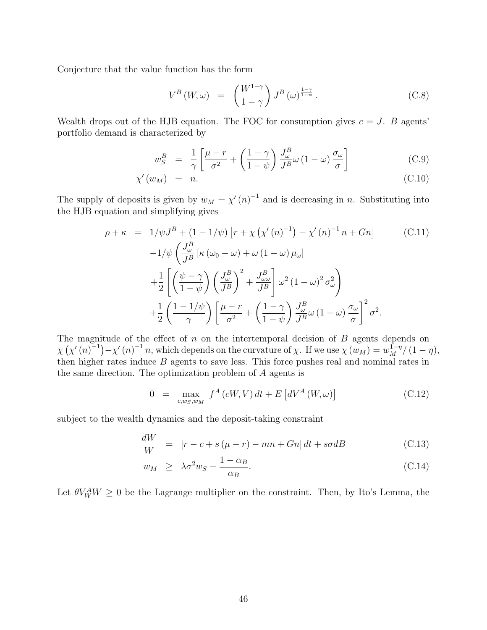Conjecture that the value function has the form

$$
V^{B}(W,\omega) = \left(\frac{W^{1-\gamma}}{1-\gamma}\right)J^{B}(\omega)^{\frac{1-\gamma}{1-\psi}}.
$$
 (C.8)

Wealth drops out of the HJB equation. The FOC for consumption gives  $c = J$ . B agents' portfolio demand is characterized by

$$
w_S^B = \frac{1}{\gamma} \left[ \frac{\mu - r}{\sigma^2} + \left( \frac{1 - \gamma}{1 - \psi} \right) \frac{J_\omega^B}{J^B} \omega \left( 1 - \omega \right) \frac{\sigma_\omega}{\sigma} \right]
$$
(C.9)

$$
\chi'(w_M) = n. \tag{C.10}
$$

The supply of deposits is given by  $w_M = \chi'(n)^{-1}$  and is decreasing in n. Substituting into the HJB equation and simplifying gives

$$
\rho + \kappa = 1/\psi J^B + (1 - 1/\psi) \left[ r + \chi \left( \chi'(n)^{-1} \right) - \chi'(n)^{-1} n + Gn \right]
$$
(C.11)  

$$
-1/\psi \left( \frac{J^B_\omega}{J^B} \left[ \kappa \left( \omega_0 - \omega \right) + \omega \left( 1 - \omega \right) \mu_\omega \right] + \frac{1}{2} \left[ \left( \frac{\psi - \gamma}{1 - \psi} \right) \left( \frac{J^B_\omega}{J^B} \right)^2 + \frac{J^B_\omega}{J^B} \right] \omega^2 (1 - \omega)^2 \sigma_\omega^2 + \frac{1}{2} \left( \frac{1 - 1/\psi}{\gamma} \right) \left[ \frac{\mu - r}{\sigma^2} + \left( \frac{1 - \gamma}{1 - \psi} \right) \frac{J^B_\omega}{J^B} \omega (1 - \omega) \frac{\sigma_\omega}{\sigma} \right]^2 \sigma^2.
$$

The magnitude of the effect of  $n$  on the intertemporal decision of  $B$  agents depends on  $\chi(\chi'(n)^{-1}) - \chi'(n)^{-1}n$ , which depends on the curvature of  $\chi$ . If we use  $\chi(w_M) = w_M^{1-\eta}/(1-\eta)$ , then higher rates induce  $B$  agents to save less. This force pushes real and nominal rates in the same direction. The optimization problem of A agents is

$$
0 = \max_{c,w_S,w_M} f^A(cW,V) dt + E\left[dV^A(W,\omega)\right]
$$
\n(C.12)

subject to the wealth dynamics and the deposit-taking constraint

$$
\frac{dW}{W} = [r - c + s(\mu - r) - mn + Gn] dt + s\sigma dB \qquad (C.13)
$$

$$
w_M \ge \lambda \sigma^2 w_S - \frac{1 - \alpha_B}{\alpha_B}.
$$
\n(C.14)

Let  $\theta V_W^A W \geq 0$  be the Lagrange multiplier on the constraint. Then, by Ito's Lemma, the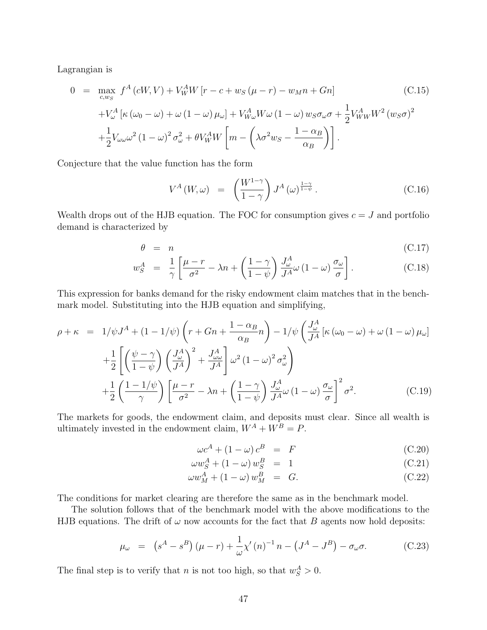Lagrangian is

$$
0 = \max_{c,w_S} f^A(cW, V) + V_W^A W [r - c + w_S(\mu - r) - w_M n + Gn]
$$
(C.15)  
+
$$
V_\omega^A [\kappa (\omega_0 - \omega) + \omega (1 - \omega) \mu_\omega] + V_{W_\omega}^A W \omega (1 - \omega) w_S \sigma_\omega \sigma + \frac{1}{2} V_{WW}^A W^2 (w_S \sigma)^2
$$
  
+
$$
\frac{1}{2} V_{\omega \omega} \omega^2 (1 - \omega)^2 \sigma_\omega^2 + \theta V_W^A W \left[ m - \left( \lambda \sigma^2 w_S - \frac{1 - \alpha_B}{\alpha_B} \right) \right].
$$

Conjecture that the value function has the form

$$
V^{A}(W,\omega) = \left(\frac{W^{1-\gamma}}{1-\gamma}\right)J^{A}(\omega)^{\frac{1-\gamma}{1-\psi}}.
$$
\n(C.16)

Wealth drops out of the HJB equation. The FOC for consumption gives  $c = J$  and portfolio demand is characterized by

$$
\theta = n \tag{C.17}
$$

$$
w_S^A = \frac{1}{\gamma} \left[ \frac{\mu - r}{\sigma^2} - \lambda n + \left( \frac{1 - \gamma}{1 - \psi} \right) \frac{J_\omega^A}{J^A} \omega \left( 1 - \omega \right) \frac{\sigma_\omega}{\sigma} \right]. \tag{C.18}
$$

This expression for banks demand for the risky endowment claim matches that in the benchmark model. Substituting into the HJB equation and simplifying,

$$
\rho + \kappa = 1/\psi J^A + (1 - 1/\psi) \left( r + Gn + \frac{1 - \alpha_B}{\alpha_B} n \right) - 1/\psi \left( \frac{J^A_\omega}{J^A} \left[ \kappa (\omega_0 - \omega) + \omega (1 - \omega) \mu_\omega \right] \right.
$$
  
+ 
$$
\frac{1}{2} \left[ \left( \frac{\psi - \gamma}{1 - \psi} \right) \left( \frac{J^A_\omega}{J^A} \right)^2 + \frac{J^A_\omega}{J^A} \right] \omega^2 (1 - \omega)^2 \sigma_\omega^2
$$
  
+ 
$$
\frac{1}{2} \left( \frac{1 - 1/\psi}{\gamma} \right) \left[ \frac{\mu - r}{\sigma^2} - \lambda n + \left( \frac{1 - \gamma}{1 - \psi} \right) \frac{J^A_\omega}{J^A} \omega (1 - \omega) \frac{\sigma_\omega}{\sigma} \right]^2 \sigma^2.
$$
 (C.19)

The markets for goods, the endowment claim, and deposits must clear. Since all wealth is ultimately invested in the endowment claim,  $W^A + W^B = P$ .

$$
\omega c^A + (1 - \omega) c^B = F \tag{C.20}
$$

$$
\omega w_S^A + (1 - \omega) w_S^B = 1 \tag{C.21}
$$

$$
\omega w_M^A + (1 - \omega) w_M^B = G. \tag{C.22}
$$

The conditions for market clearing are therefore the same as in the benchmark model.

The solution follows that of the benchmark model with the above modifications to the HJB equations. The drift of  $\omega$  now accounts for the fact that B agents now hold deposits:

$$
\mu_{\omega} = (s^A - s^B)(\mu - r) + \frac{1}{\omega} \chi'(n)^{-1} n - (J^A - J^B) - \sigma_{\omega} \sigma.
$$
 (C.23)

The final step is to verify that *n* is not too high, so that  $w_S^A > 0$ .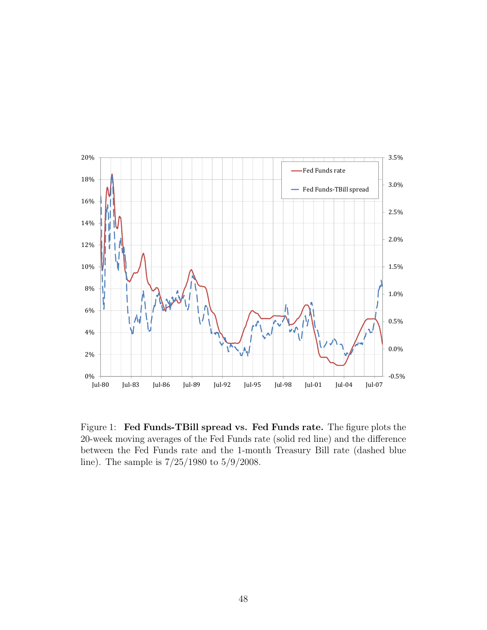

<span id="page-47-0"></span>Figure 1: Fed Funds-TBill spread vs. Fed Funds rate. The figure plots the 20-week moving averages of the Fed Funds rate (solid red line) and the difference between the Fed Funds rate and the 1-month Treasury Bill rate (dashed blue line). The sample is 7/25/1980 to 5/9/2008.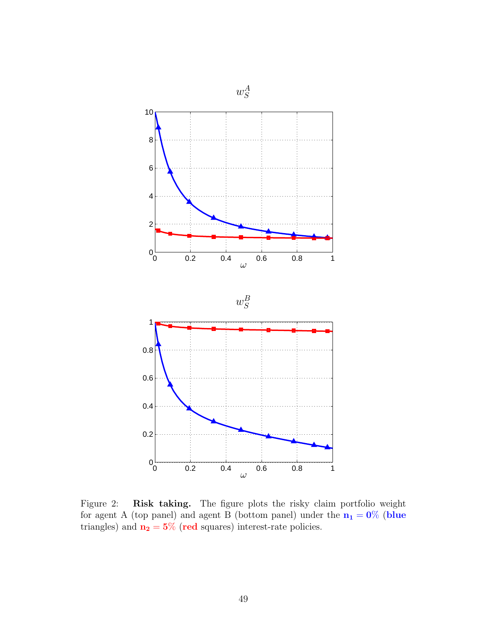

<span id="page-48-0"></span>Figure 2: Risk taking. The figure plots the risky claim portfolio weight for agent A (top panel) and agent B (bottom panel) under the  $n_1 = 0\%$  (blue triangles) and  $n_2 = 5\%$  (red squares) interest-rate policies.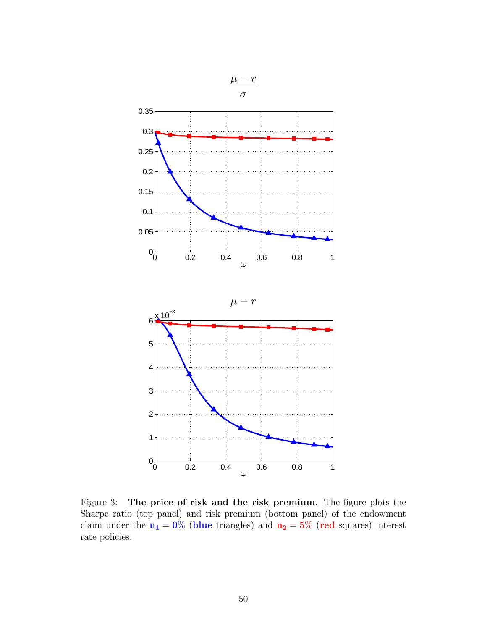

<span id="page-49-0"></span>Figure 3: The price of risk and the risk premium. The figure plots the Sharpe ratio (top panel) and risk premium (bottom panel) of the endowment claim under the  $n_1 = 0\%$  (blue triangles) and  $n_2 = 5\%$  (red squares) interest rate policies.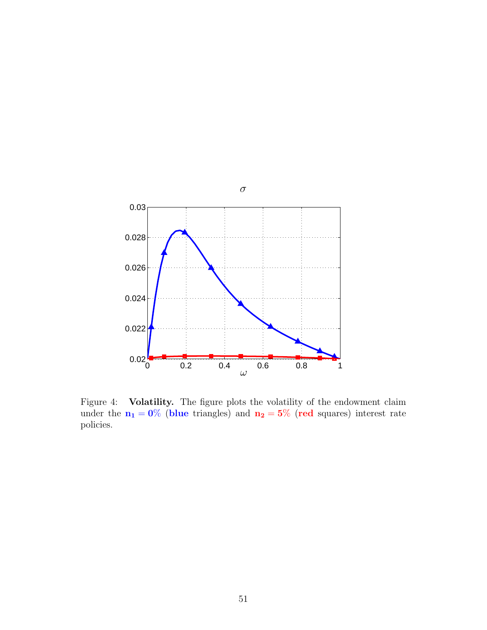

<span id="page-50-0"></span>Figure 4: Volatility. The figure plots the volatility of the endowment claim under the  $n_1 = 0\%$  (blue triangles) and  $n_2 = 5\%$  (red squares) interest rate policies.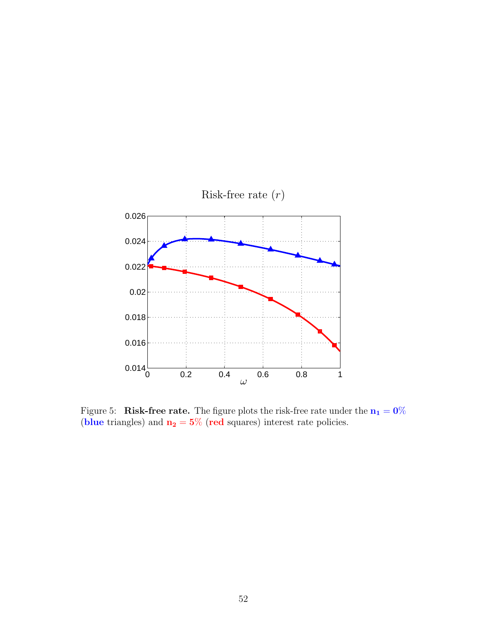

<span id="page-51-0"></span>Figure 5: Risk-free rate. The figure plots the risk-free rate under the  $n_1 = 0\%$ (blue triangles) and  $n_2 = 5\%$  (red squares) interest rate policies.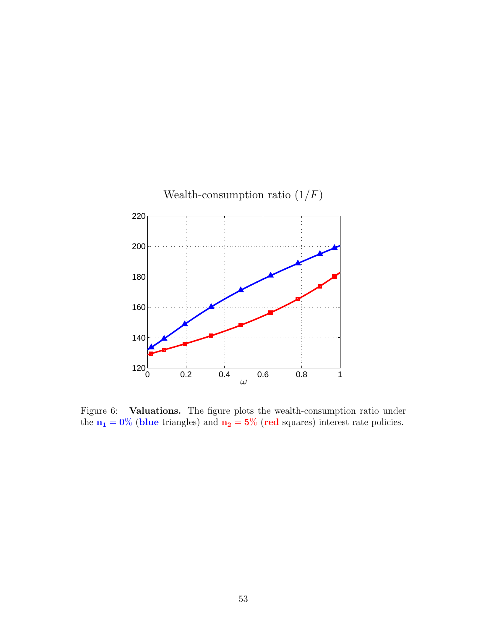

<span id="page-52-0"></span>Figure 6: Valuations. The figure plots the wealth-consumption ratio under the  $n_1 = 0\%$  (blue triangles) and  $n_2 = 5\%$  (red squares) interest rate policies.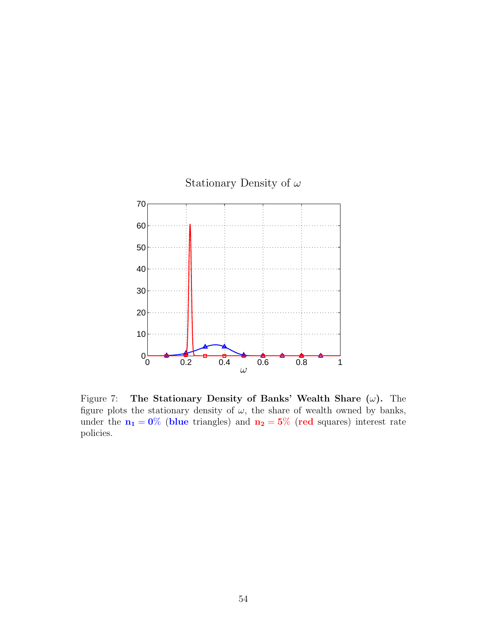

<span id="page-53-0"></span>Figure 7: The Stationary Density of Banks' Wealth Share  $(\omega)$ . The figure plots the stationary density of  $\omega$ , the share of wealth owned by banks, under the  $n_1 = 0\%$  (blue triangles) and  $n_2 = 5\%$  (red squares) interest rate policies.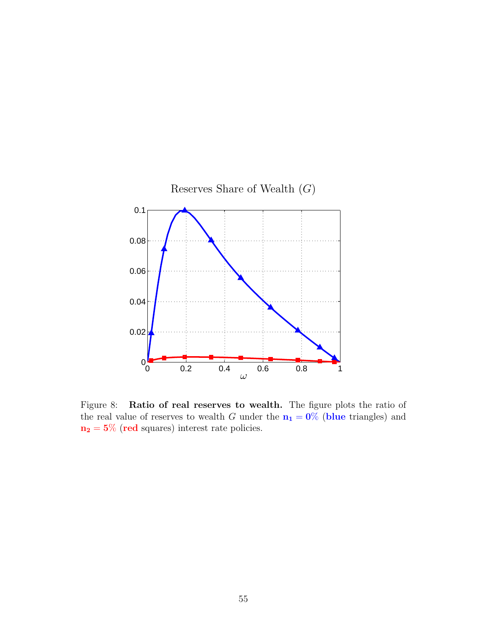

<span id="page-54-0"></span>Figure 8: Ratio of real reserves to wealth. The figure plots the ratio of the real value of reserves to wealth G under the  $n_1 = 0\%$  (blue triangles) and  $\mathbf{n_2} = 5\%$  (red squares) interest rate policies.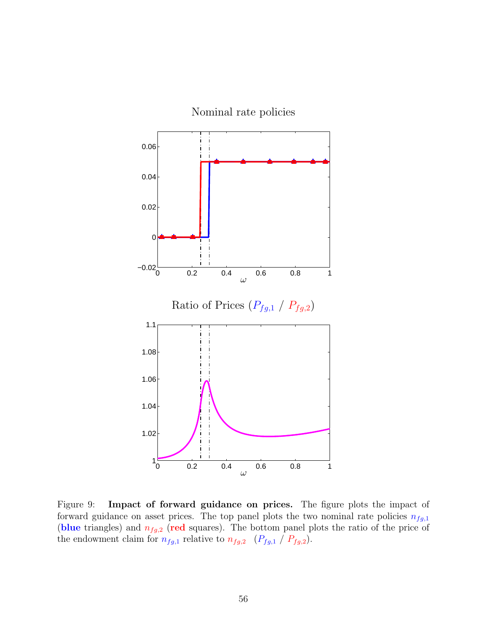

<span id="page-55-0"></span>Figure 9: Impact of forward guidance on prices. The figure plots the impact of forward guidance on asset prices. The top panel plots the two nominal rate policies  $n_{fg,1}$ (blue triangles) and  $n_{fg,2}$  (red squares). The bottom panel plots the ratio of the price of the endowment claim for  $n_{fg,1}$  relative to  $n_{fg,2}$  ( $P_{fg,1}$  /  $P_{fg,2}$ ).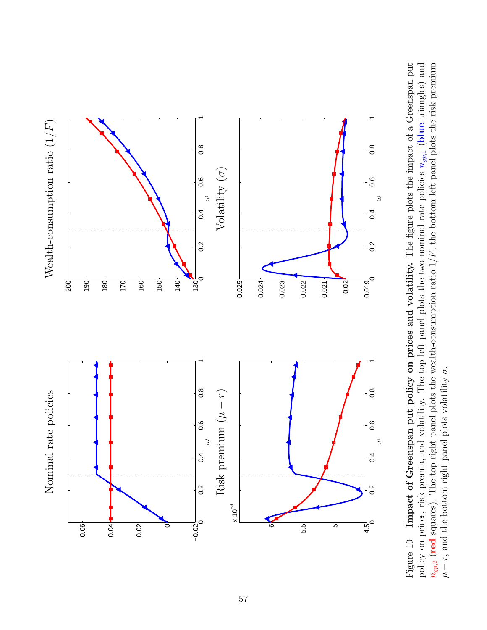

<span id="page-56-0"></span> $n_{gp,2}$  (red squares). The top right panel plots the wealth-consumption ratio  $1/F$ , the bottom left panel plots the risk premium Figure 10: Impact of Greenspan put policy on prices and volatility. The figure plots the impact of a Greenspan put policy on prices, risk premia, and volatility. The top left panel plots the two nominal rate policies  $n_{gp,1}$  (blue triangles) and  $n_{gp,1}$  (blue triangles) and  $n_{gp,2}$  (red squares). The top right panel plots the wealth-consumption ratio  $1/F$ , the bottom left panel plots the risk premium  $n_{g,2}$ Figure 10: Impact of Greenspan put policy on prices and volatility. The figure plots the impact of a Greenspan put policy on prices, risk premia, and volatility. The top left panel plots the two nominal rate policies σ. r, and the bottom right panel plots volatility µ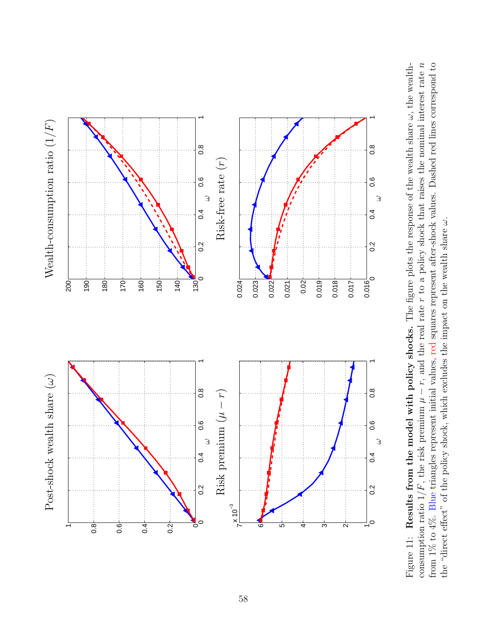

<span id="page-57-0"></span>Results from the model with policy shocks. The figure plots the response of the wealth share  $\omega$ , the wealthconsumption ratio  $1/F$ , the risk premium  $\mu - r$ , and the real rate r to a policy shock that raises the nominal interest rate n from  $1\%$  to  $4\%$ . Blue triangles represent initial values, red squares represent after-shock values. Dashed red lines correspond to consumption ratio 1/F, the risk premium  $\mu - r$ , and the real rate r to a policy shock that raises the nominal interest rate n Figure 11: **Results from the model with policy shocks.** The figure plots the response of the wealth share  $\omega$ , the wealthfrom 1% to 4%. Blue triangles represent initial values, red squares represent after-shock values. Dashed red lines correspond to the "direct effect" of the policy shock, which excludes the impact on the wealth share  $\omega$ . the "direct effect" of the policy shock, which excludes the impact on the wealth share ω. Figure 11: